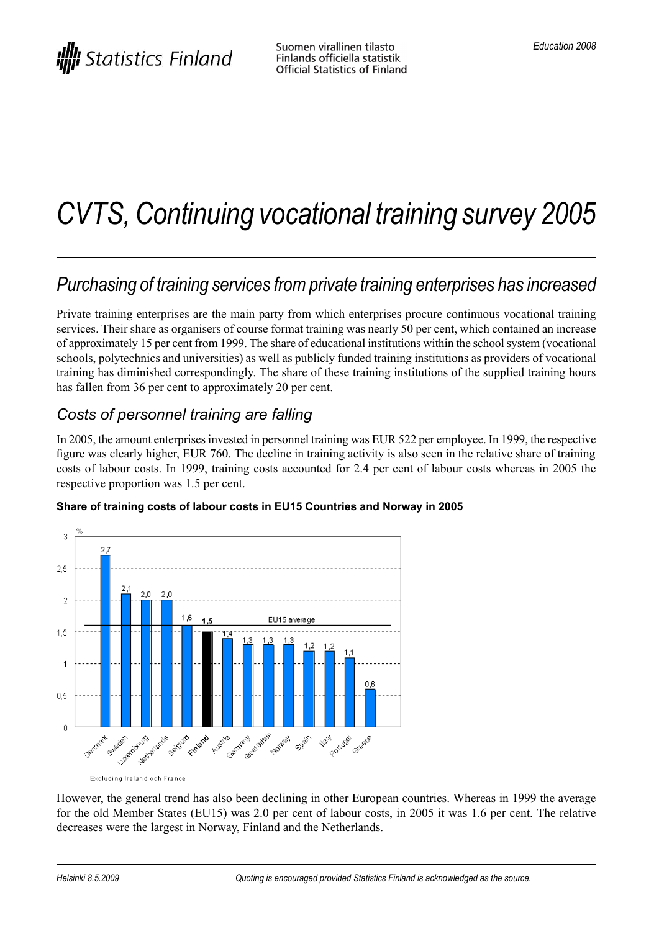# *CVTS, Continuing vocational training survey 2005*

## *Purchasing of training services fromprivate training enterprises has increased*

Private training enterprises are the main party from which enterprises procure continuous vocational training services. Their share as organisers of course format training was nearly 50 per cent, which contained an increase of approximately 15 per cent from 1999. The share of educational institutions within the schoolsystem (vocational schools, polytechnics and universities) as well as publicly funded training institutions as providers of vocational training has diminished correspondingly. The share of these training institutions of the supplied training hours has fallen from 36 per cent to approximately 20 per cent.

### *Costs of personnel training are falling*

In 2005, the amount enterprises invested in personnel training was EUR 522 per employee. In 1999, the respective figure was clearly higher, EUR 760. The decline in training activity is also seen in the relative share of training costs of labour costs. In 1999, training costs accounted for 2.4 per cent of labour costs whereas in 2005 the respective proportion was 1.5 per cent.



**Share of training costs of labour costs in EU15 Countries and Norway in 2005**

Excluding Ireland och France

However, the general trend has also been declining in other European countries. Whereas in 1999 the average for the old Member States (EU15) was 2.0 per cent of labour costs, in 2005 it was 1.6 per cent. The relative decreases were the largest in Norway, Finland and the Netherlands.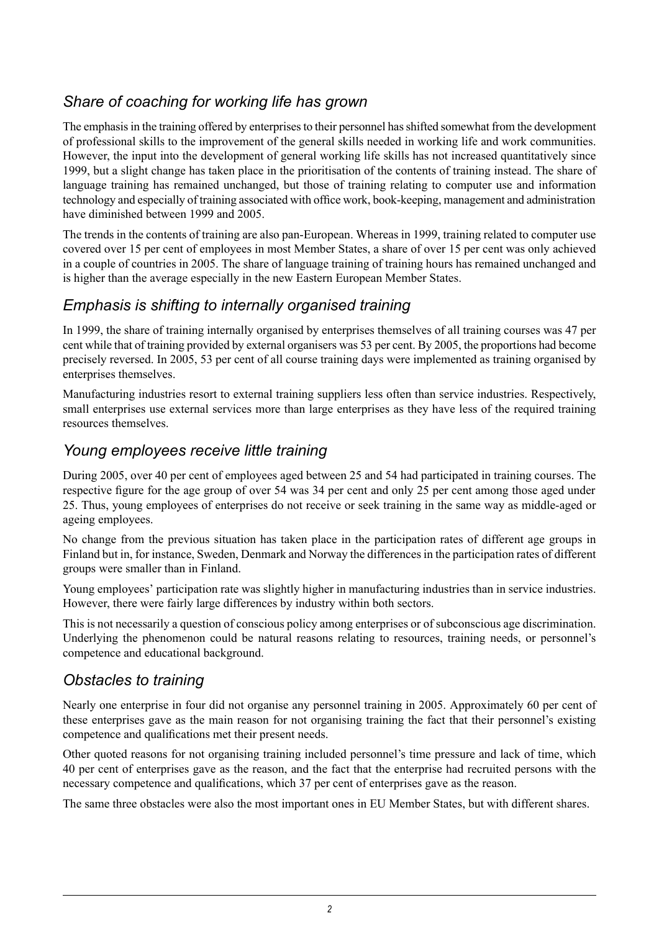### *Share of coaching for working life has grown*

The emphasis in the training offered by enterprises to their personnel has shifted somewhat from the development of professional skills to the improvement of the general skills needed in working life and work communities. However, the input into the development of general working life skills has not increased quantitatively since 1999, but a slight change has taken place in the prioritisation of the contents of training instead. The share of language training has remained unchanged, but those of training relating to computer use and information technology and especially of training associated with office work, book-keeping, management and administration have diminished between 1999 and 2005.

The trends in the contents of training are also pan-European. Whereas in 1999, training related to computer use covered over 15 per cent of employees in most Member States, a share of over 15 per cent was only achieved in a couple of countries in 2005. The share of language training of training hours has remained unchanged and is higher than the average especially in the new Eastern European Member States.

### *Emphasis is shifting to internally organised training*

In 1999, the share of training internally organised by enterprises themselves of all training courses was 47 per cent while that of training provided by external organisers was 53 per cent. By 2005, the proportions had become precisely reversed. In 2005, 53 per cent of all course training days were implemented as training organised by enterprises themselves.

Manufacturing industries resort to external training suppliers less often than service industries. Respectively, small enterprises use external services more than large enterprises as they have less of the required training resources themselves.

#### *Young employees receive little training*

During 2005, over 40 per cent of employees aged between 25 and 54 had participated in training courses. The respective figure for the age group of over 54 was 34 per cent and only 25 per cent among those aged under 25. Thus, young employees of enterprises do not receive or seek training in the same way as middle-aged or ageing employees.

No change from the previous situation has taken place in the participation rates of different age groups in Finland but in, for instance, Sweden, Denmark and Norway the differences in the participation rates of different groups were smaller than in Finland.

Young employees' participation rate was slightly higher in manufacturing industries than in service industries. However, there were fairly large differences by industry within both sectors.

This is not necessarily a question of conscious policy among enterprises or of subconscious age discrimination. Underlying the phenomenon could be natural reasons relating to resources, training needs, or personnel's competence and educational background.

### *Obstacles to training*

Nearly one enterprise in four did not organise any personnel training in 2005. Approximately 60 per cent of these enterprises gave as the main reason for not organising training the fact that their personnel's existing competence and qualifications met their present needs.

Other quoted reasons for not organising training included personnel's time pressure and lack of time, which 40 per cent of enterprises gave as the reason, and the fact that the enterprise had recruited persons with the necessary competence and qualifications, which 37 per cent of enterprises gave as the reason.

The same three obstacles were also the most important ones in EU Member States, but with different shares.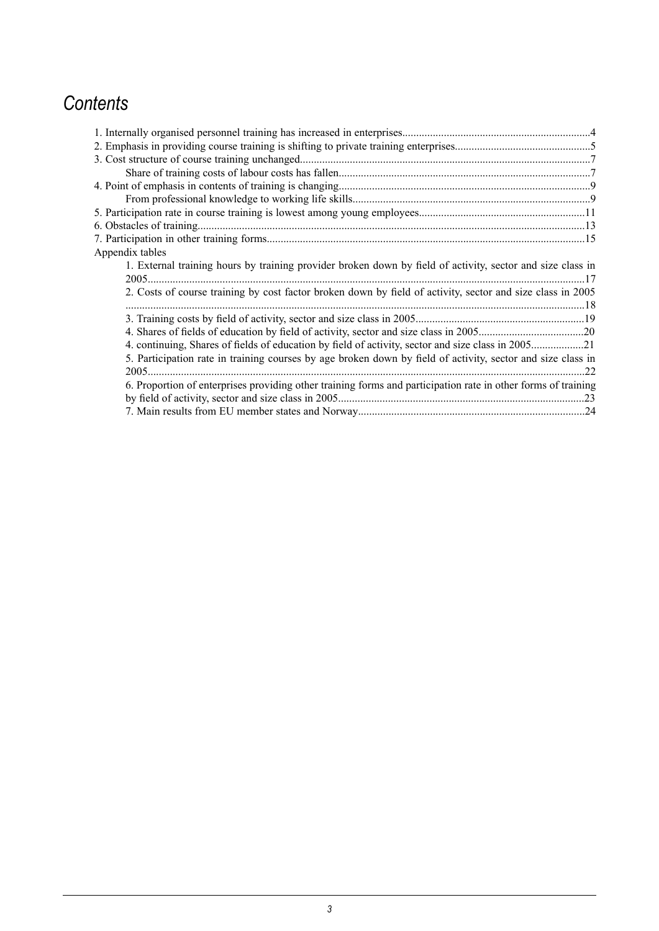## *Contents*

| Appendix tables                                                                                               |     |
|---------------------------------------------------------------------------------------------------------------|-----|
| 1. External training hours by training provider broken down by field of activity, sector and size class in    |     |
|                                                                                                               |     |
| 2. Costs of course training by cost factor broken down by field of activity, sector and size class in 2005    |     |
|                                                                                                               |     |
|                                                                                                               |     |
|                                                                                                               |     |
| 4. continuing, Shares of fields of education by field of activity, sector and size class in 200521            |     |
| 5. Participation rate in training courses by age broken down by field of activity, sector and size class in   |     |
|                                                                                                               | .22 |
| 6. Proportion of enterprises providing other training forms and participation rate in other forms of training |     |
|                                                                                                               |     |
|                                                                                                               |     |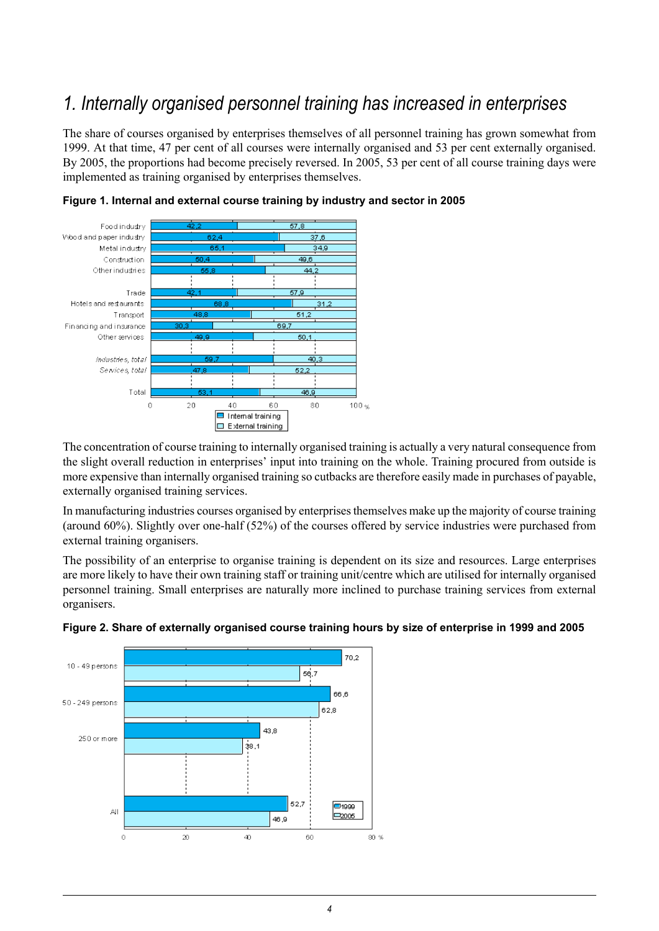## *1. Internally organised personnel training has increased in enterprises*

<span id="page-3-0"></span>The share of courses organised by enterprises themselves of all personnel training has grown somewhat from 1999. At that time, 47 per cent of all courses were internally organised and 53 per cent externally organised. By 2005, the proportions had become precisely reversed. In 2005, 53 per cent of all course training days were implemented as training organised by enterprises themselves.





The concentration of course training to internally organised training is actually a very natural consequence from the slight overall reduction in enterprises' input into training on the whole. Training procured from outside is more expensive than internally organised training so cutbacks are therefore easily made in purchases of payable, externally organised training services.

In manufacturing industries courses organised by enterprisesthemselves make up the majority of course training (around 60%). Slightly over one-half (52%) of the courses offered by service industries were purchased from external training organisers.

The possibility of an enterprise to organise training is dependent on its size and resources. Large enterprises are more likely to have their own training staff or training unit/centre which are utilised for internally organised personnel training. Small enterprises are naturally more inclined to purchase training services from external organisers.



#### **Figure 2. Share of externally organised course training hours by size of enterprise in 1999 and 2005**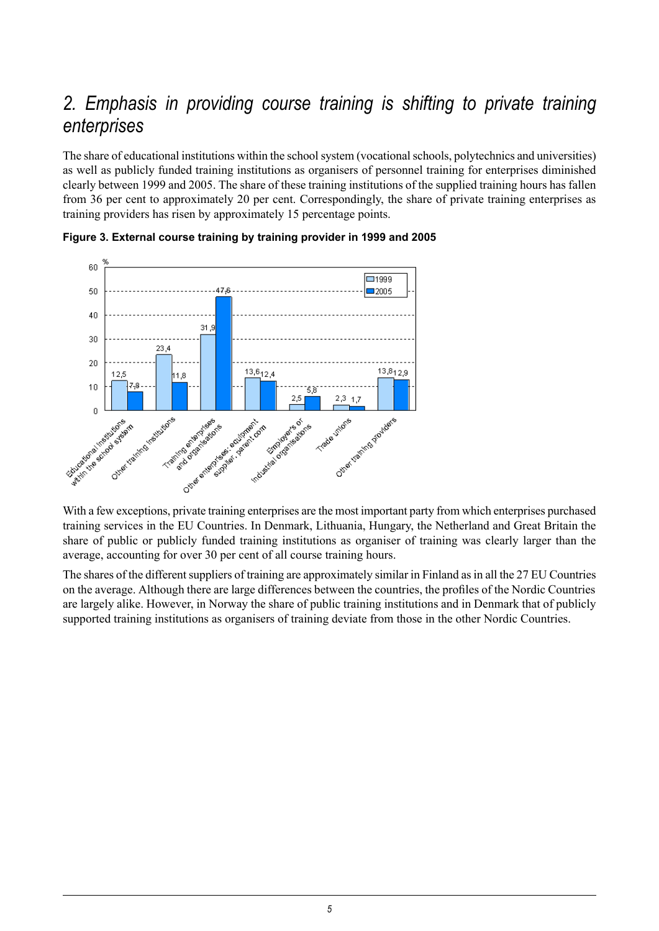## *2. Emphasis in providing course training is shifting to private training enterprises*

<span id="page-4-0"></span>The share of educational institutions within the school system (vocational schools, polytechnics and universities) as well as publicly funded training institutions as organisers of personnel training for enterprises diminished clearly between 1999 and 2005. The share of these training institutions of the supplied training hours has fallen from 36 per cent to approximately 20 per cent. Correspondingly, the share of private training enterprises as training providers has risen by approximately 15 percentage points.





With a few exceptions, private training enterprises are the most important party from which enterprises purchased training services in the EU Countries. In Denmark, Lithuania, Hungary, the Netherland and Great Britain the share of public or publicly funded training institutions as organiser of training was clearly larger than the average, accounting for over 30 per cent of all course training hours.

The shares of the different suppliers of training are approximately similar in Finland as in all the 27 EU Countries on the average. Although there are large differences between the countries, the profiles of the Nordic Countries are largely alike. However, in Norway the share of public training institutions and in Denmark that of publicly supported training institutions as organisers of training deviate from those in the other Nordic Countries.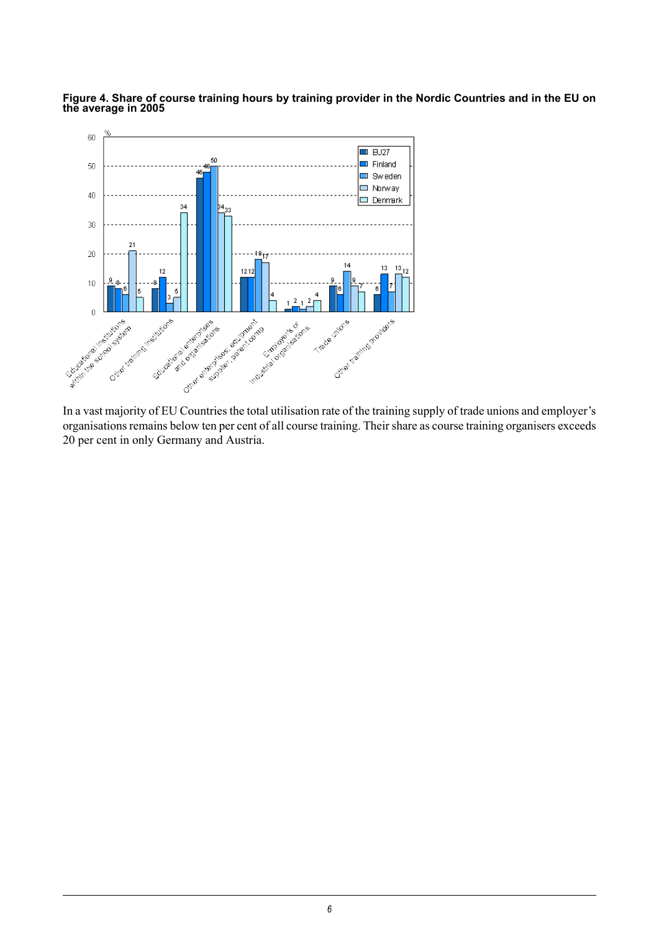

Figure 4. Share of course training hours by training provider in the Nordic Countries and in the EU on **the average in 2005**

organisations remains below ten per cent of all course training. Their share as course training organisers exceeds 20 per cent in only Germany and Austria.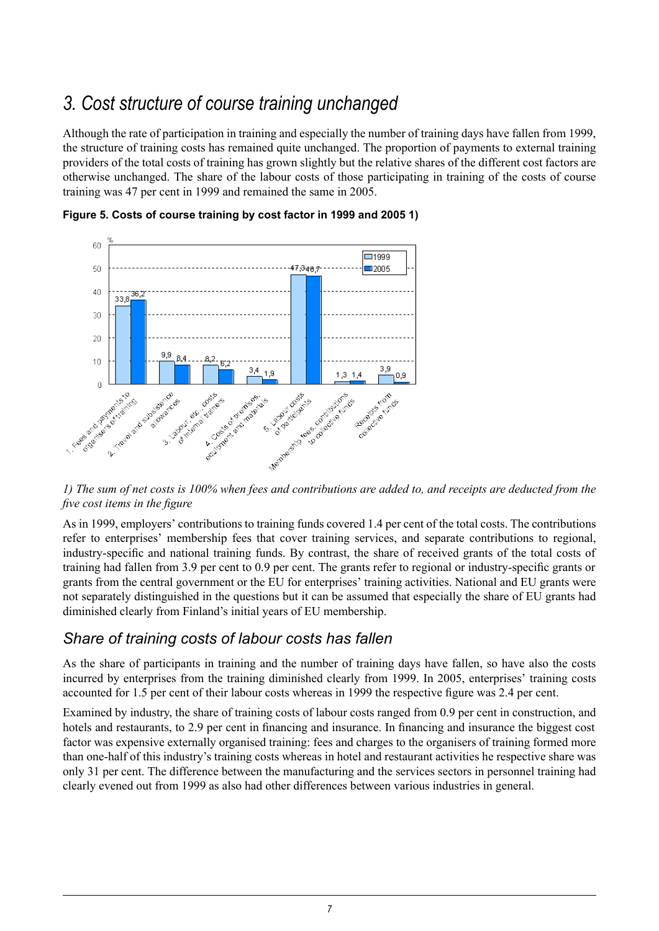## *3. Cost structure of course training unchanged*

<span id="page-6-0"></span>Although the rate of participation in training and especially the number of training days have fallen from 1999, the structure of training costs has remained quite unchanged. The proportion of payments to external training providers of the total costs of training has grown slightly but the relative shares of the different cost factors are otherwise unchanged. The share of the labour costs of those participating in training of the costs of course training was 47 per cent in 1999 and remained the same in 2005.



**Figure 5. Costs of course training by cost factor in 1999 and 2005 1)**

1) The sum of net costs is 100% when fees and contributions are added to, and receipts are deducted from the *five cost items in the figure*

As in 1999, employers' contributions to training funds covered 1.4 per cent of the total costs. The contributions refer to enterprises' membership fees that cover training services, and separate contributions to regional, industry-specific and national training funds. By contrast, the share of received grants of the total costs of training had fallen from 3.9 per cent to 0.9 per cent. The grants refer to regional or industry-specific grants or grants from the central government or the EU for enterprises' training activities. National and EU grants were not separately distinguished in the questions but it can be assumed that especially the share of EU grants had diminished clearly from Finland's initial years of EU membership.

### <span id="page-6-1"></span>*Share of training costs of labour costs has fallen*

As the share of participants in training and the number of training days have fallen, so have also the costs incurred by enterprises from the training diminished clearly from 1999. In 2005, enterprises' training costs accounted for 1.5 per cent of their labour costs whereas in 1999 the respective figure was 2.4 per cent.

Examined by industry, the share of training costs of labour costs ranged from 0.9 per cent in construction, and hotels and restaurants, to 2.9 per cent in financing and insurance. In financing and insurance the biggest cost factor was expensive externally organised training: fees and charges to the organisers of training formed more than one-half of this industry's training costs whereas in hotel and restaurant activities he respective share was only 31 per cent. The difference between the manufacturing and the services sectors in personnel training had clearly evened out from 1999 as also had other differences between various industries in general.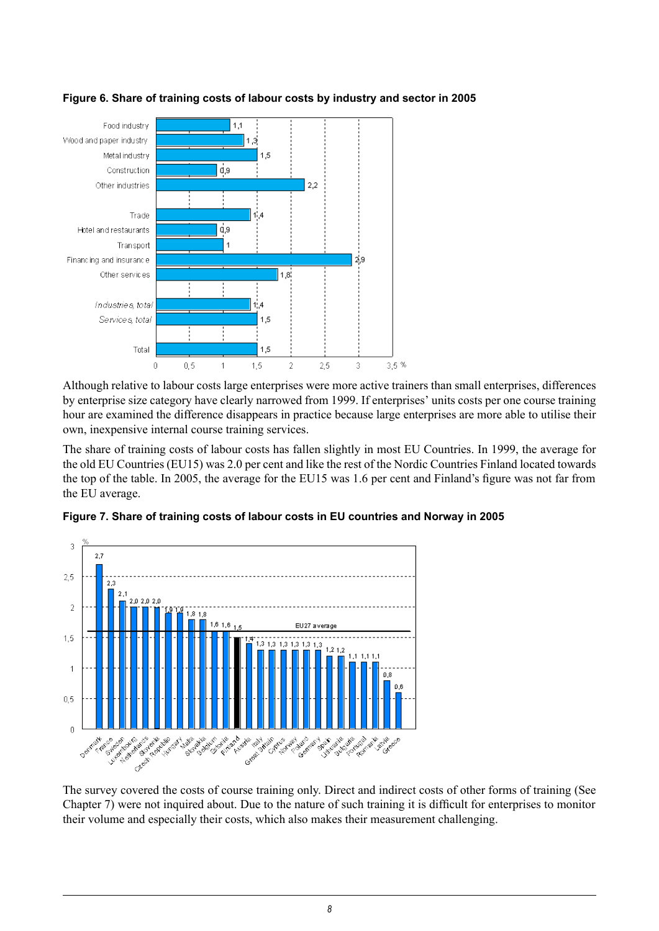

#### **Figure 6. Share of training costs of labour costs by industry and sector in 2005**

Although relative to labour costs large enterprises were more active trainers than small enterprises, differences by enterprise size category have clearly narrowed from 1999. If enterprises' units costs per one course training hour are examined the difference disappears in practice because large enterprises are more able to utilise their own, inexpensive internal course training services.

The share of training costs of labour costs has fallen slightly in most EU Countries. In 1999, the average for the old EU Countries (EU15) was 2.0 per cent and like the rest of the Nordic Countries Finland located towards the top of the table. In 2005, the average for the EU15 was 1.6 per cent and Finland's figure was not far from the EU average.



**Figure 7. Share of training costs of labour costs in EU countries and Norway in 2005**

The survey covered the costs of course training only. Direct and indirect costs of other forms of training (See Chapter 7) were not inquired about. Due to the nature of such training it is difficult for enterprises to monitor their volume and especially their costs, which also makes their measurement challenging.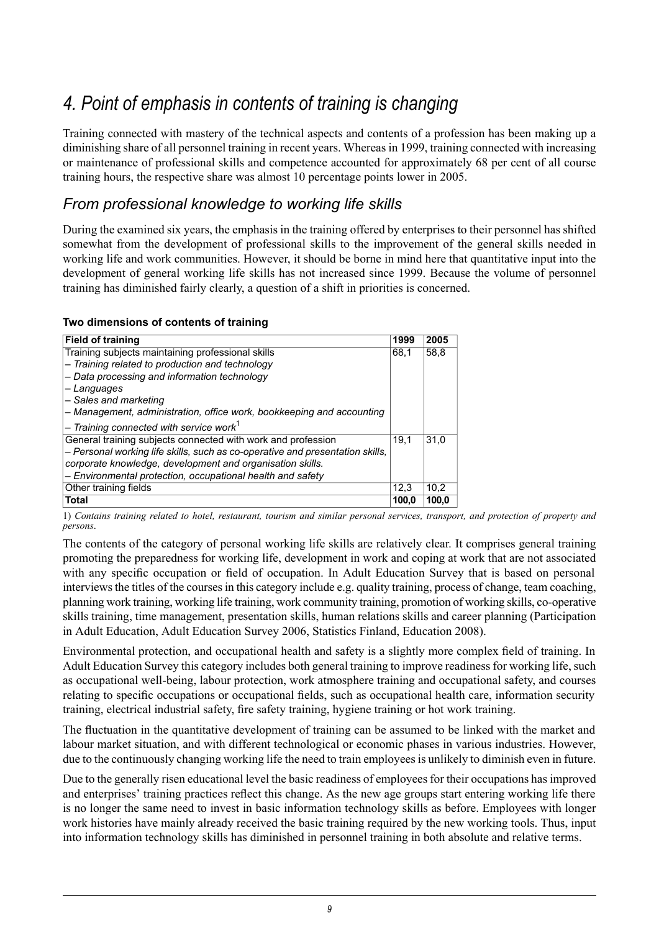## *4. Point of emphasis in contents of training is changing*

<span id="page-8-0"></span>Training connected with mastery of the technical aspects and contents of a profession has been making up a diminishing share of all personnel training in recent years. Whereas in 1999, training connected with increasing or maintenance of professional skills and competence accounted for approximately 68 per cent of all course training hours, the respective share was almost 10 percentage points lower in 2005.

### <span id="page-8-1"></span>*From professional knowledge to working life skills*

During the examined six years, the emphasis in the training offered by enterprises to their personnel has shifted somewhat from the development of professional skills to the improvement of the general skills needed in working life and work communities. However, it should be borne in mind here that quantitative input into the development of general working life skills has not increased since 1999. Because the volume of personnel training has diminished fairly clearly, a question of a shift in priorities is concerned.

#### **Two dimensions of contents of training**

| <b>Field of training</b>                                                      | 1999  | 2005  |
|-------------------------------------------------------------------------------|-------|-------|
| Training subjects maintaining professional skills                             | 68.1  | 58,8  |
| - Training related to production and technology                               |       |       |
| - Data processing and information technology                                  |       |       |
| - Languages                                                                   |       |       |
| - Sales and marketing                                                         |       |       |
| - Management, administration, office work, bookkeeping and accounting         |       |       |
| $-$ Training connected with service work <sup>1</sup>                         |       |       |
| General training subjects connected with work and profession                  | 19.1  | 31.0  |
| - Personal working life skills, such as co-operative and presentation skills, |       |       |
| corporate knowledge, development and organisation skills.                     |       |       |
| - Environmental protection, occupational health and safety                    |       |       |
| Other training fields                                                         | 12.3  | 10.2  |
| <b>Total</b>                                                                  | 100.0 | 100.0 |

1) Contains training related to hotel, restaurant, tourism and similar personal services, transport, and protection of property and *persons*.

The contents of the category of personal working life skills are relatively clear. It comprises general training promoting the preparedness for working life, development in work and coping at work that are not associated with any specific occupation or field of occupation. In Adult Education Survey that is based on personal interviews the titles of the courses in this category include e.g. quality training, process of change, team coaching, planning work training, working life training, work community training, promotion of working skills, co-operative skills training, time management, presentation skills, human relations skills and career planning (Participation in Adult Education, Adult Education Survey 2006, Statistics Finland, Education 2008).

Environmental protection, and occupational health and safety is a slightly more complex field of training. In Adult Education Survey this category includes both general training to improve readiness for working life, such as occupational well-being, labour protection, work atmosphere training and occupational safety, and courses relating to specific occupations or occupational fields, such as occupational health care, information security training, electrical industrial safety, fire safety training, hygiene training or hot work training.

The fluctuation in the quantitative development of training can be assumed to be linked with the market and labour market situation, and with different technological or economic phases in various industries. However, due to the continuously changing working life the need to train employees is unlikely to diminish even in future.

Due to the generally risen educational level the basic readiness of employees for their occupations has improved and enterprises' training practices reflect this change. As the new age groups start entering working life there is no longer the same need to invest in basic information technology skills as before. Employees with longer work histories have mainly already received the basic training required by the new working tools. Thus, input into information technology skills has diminished in personnel training in both absolute and relative terms.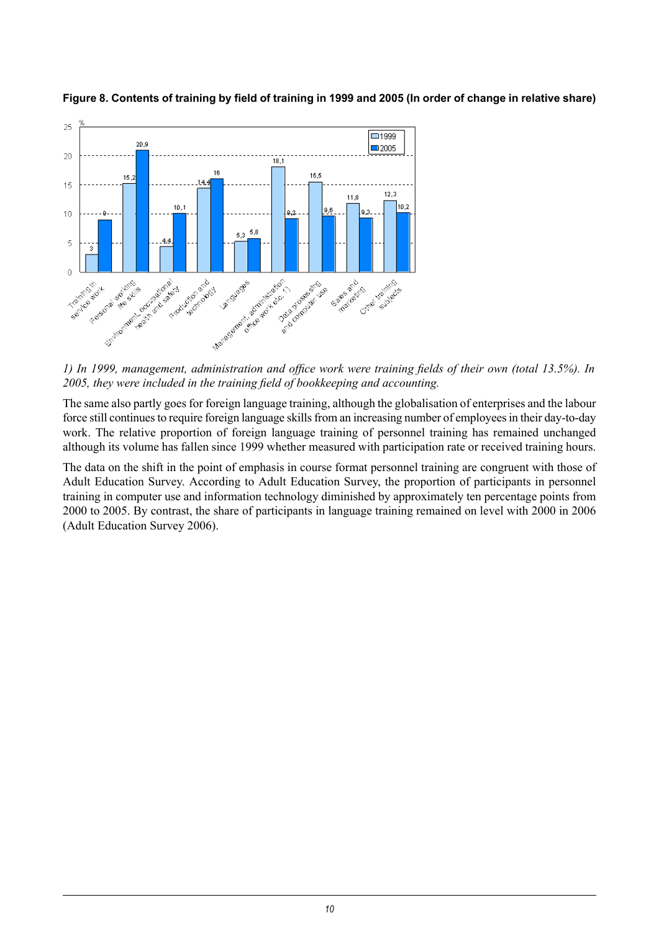

Figure 8. Contents of training by field of training in 1999 and 2005 (In order of change in relative share)

1) In 1999, management, administration and office work were training fields of their own (total 13.5%). In *2005, they were included in the training field of bookkeeping and accounting.*

The same also partly goes for foreign language training, although the globalisation of enterprises and the labour force still continues to require foreign language skills from an increasing number of employees in their day-to-day work. The relative proportion of foreign language training of personnel training has remained unchanged although its volume has fallen since 1999 whether measured with participation rate or received training hours.

The data on the shift in the point of emphasis in course format personnel training are congruent with those of Adult Education Survey. According to Adult Education Survey, the proportion of participants in personnel training in computer use and information technology diminished by approximately ten percentage points from 2000 to 2005. By contrast, the share of participants in language training remained on level with 2000 in 2006 (Adult Education Survey 2006).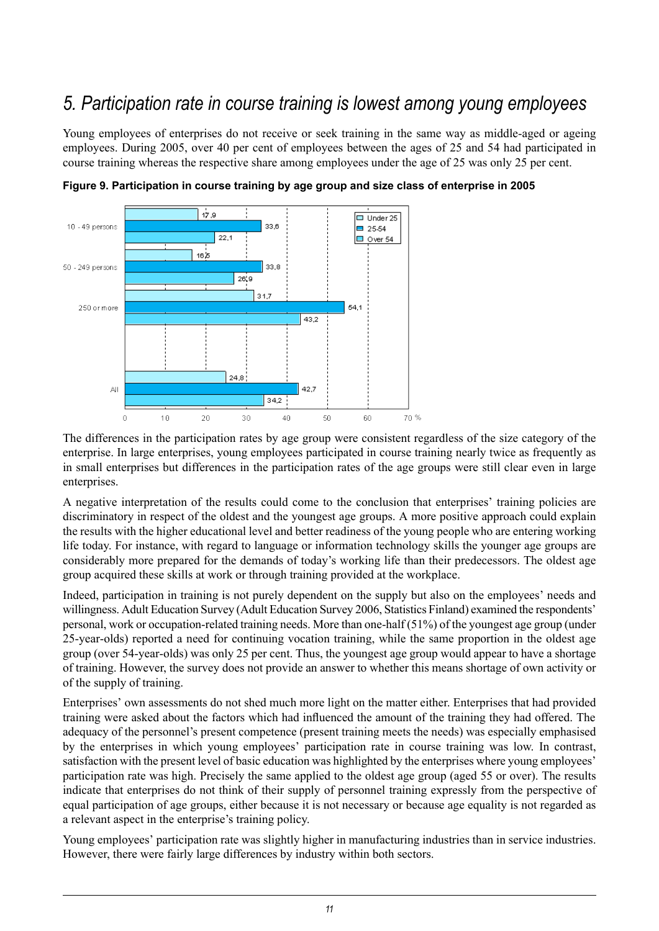## *5. Participation rate in course training is lowest among young employees*

<span id="page-10-0"></span>Young employees of enterprises do not receive or seek training in the same way as middle-aged or ageing employees. During 2005, over 40 per cent of employees between the ages of 25 and 54 had participated in course training whereas the respective share among employees under the age of 25 was only 25 per cent.





The differences in the participation rates by age group were consistent regardless of the size category of the enterprise. In large enterprises, young employees participated in course training nearly twice as frequently as in small enterprises but differences in the participation rates of the age groups were still clear even in large enterprises.

A negative interpretation of the results could come to the conclusion that enterprises' training policies are discriminatory in respect of the oldest and the youngest age groups. A more positive approach could explain the results with the higher educational level and better readiness of the young people who are entering working life today. For instance, with regard to language or information technology skills the younger age groups are considerably more prepared for the demands of today's working life than their predecessors. The oldest age group acquired these skills at work or through training provided at the workplace.

Indeed, participation in training is not purely dependent on the supply but also on the employees' needs and willingness. Adult Education Survey (Adult Education Survey 2006, Statistics Finland) examined the respondents' personal, work or occupation-related training needs. More than one-half (51%) of the youngest age group (under 25-year-olds) reported a need for continuing vocation training, while the same proportion in the oldest age group (over 54-year-olds) was only 25 per cent. Thus, the youngest age group would appear to have a shortage of training. However, the survey does not provide an answer to whether this means shortage of own activity or of the supply of training.

Enterprises' own assessments do not shed much more light on the matter either. Enterprises that had provided training were asked about the factors which had influenced the amount of the training they had offered. The adequacy of the personnel's present competence (present training meets the needs) was especially emphasised by the enterprises in which young employees' participation rate in course training was low. In contrast, satisfaction with the present level of basic education was highlighted by the enterprises where young employees' participation rate was high. Precisely the same applied to the oldest age group (aged 55 or over). The results indicate that enterprises do not think of their supply of personnel training expressly from the perspective of equal participation of age groups, either because it is not necessary or because age equality is not regarded as a relevant aspect in the enterprise's training policy.

Young employees' participation rate was slightly higher in manufacturing industries than in service industries. However, there were fairly large differences by industry within both sectors.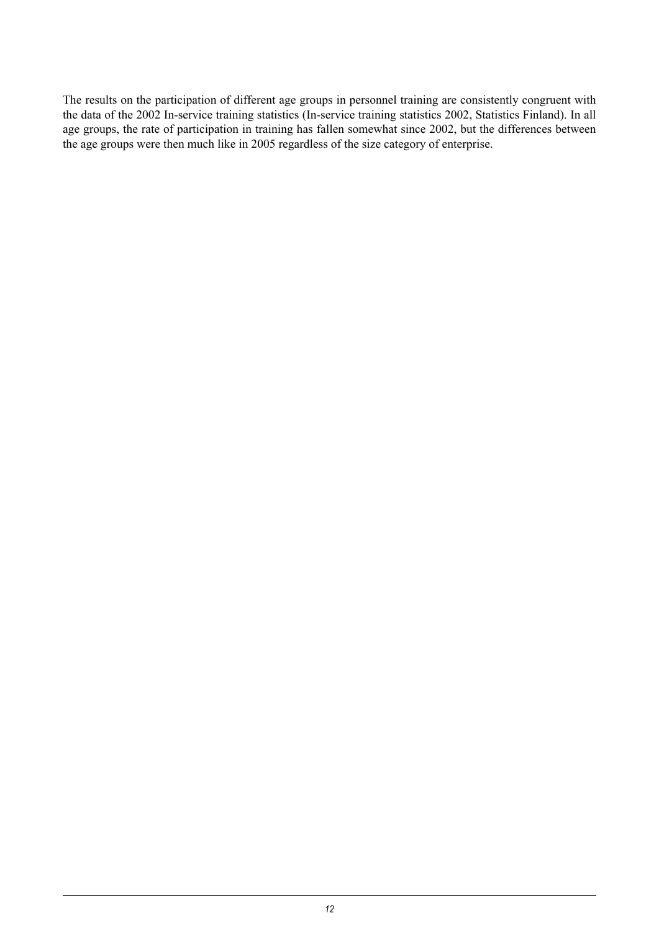The results on the participation of different age groups in personnel training are consistently congruent with the data of the 2002 In-service training statistics (In-service training statistics 2002, Statistics Finland). In all age groups, the rate of participation in training has fallen somewhat since 2002, but the differences between the age groups were then much like in 2005 regardless of the size category of enterprise.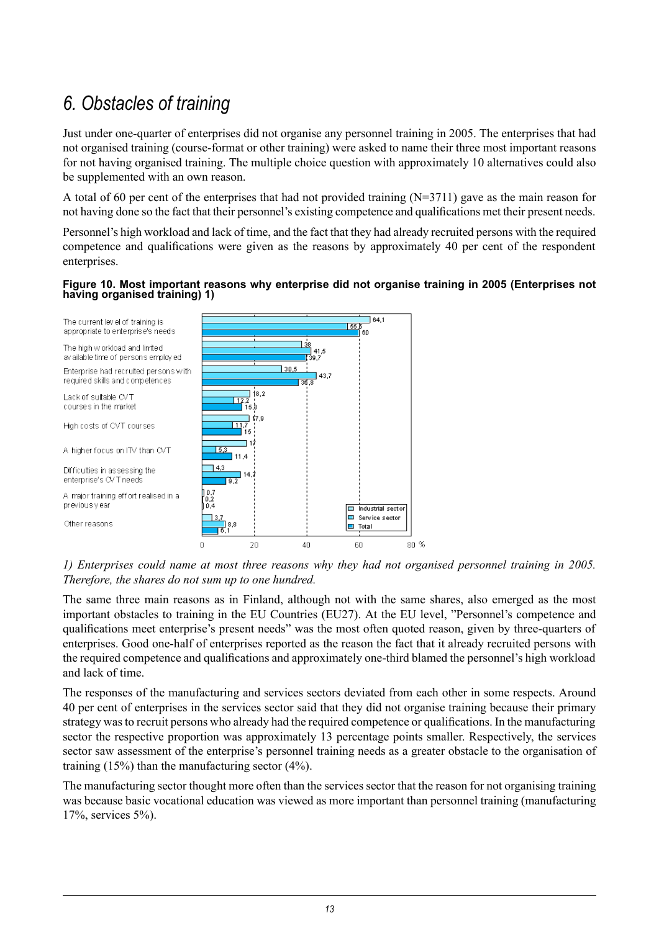## *6. Obstacles of training*

<span id="page-12-0"></span>Just under one-quarter of enterprises did not organise any personnel training in 2005. The enterprises that had not organised training (course-format or other training) were asked to name their three most important reasons for not having organised training. The multiple choice question with approximately 10 alternatives could also be supplemented with an own reason.

A total of 60 per cent of the enterprises that had not provided training (N=3711) gave as the main reason for not having done so the fact that their personnel's existing competence and qualifications met their present needs.

Personnel's high workload and lack of time, and the fact that they had already recruited persons with the required competence and qualifications were given as the reasons by approximately 40 per cent of the respondent enterprises.

#### **Figure 10. Most important reasons why enterprise did not organise training in 2005 (Enterprises not having organised training) 1)**



*1) Enterprises could name at most three reasons why they had not organised personnel training in 2005. Therefore, the shares do not sum up to one hundred.*

The same three main reasons as in Finland, although not with the same shares, also emerged as the most important obstacles to training in the EU Countries (EU27). At the EU level, "Personnel's competence and qualifications meet enterprise's present needs" was the most often quoted reason, given by three-quarters of enterprises. Good one-half of enterprises reported as the reason the fact that it already recruited persons with the required competence and qualifications and approximately one-third blamed the personnel's high workload and lack of time.

The responses of the manufacturing and services sectors deviated from each other in some respects. Around 40 per cent of enterprises in the services sector said that they did not organise training because their primary strategy wasto recruit persons who already had the required competence or qualifications. In the manufacturing sector the respective proportion was approximately 13 percentage points smaller. Respectively, the services sector saw assessment of the enterprise's personnel training needs as a greater obstacle to the organisation of training (15%) than the manufacturing sector (4%).

The manufacturing sector thought more often than the services sector that the reason for not organising training was because basic vocational education was viewed as more important than personnel training (manufacturing 17%, services 5%).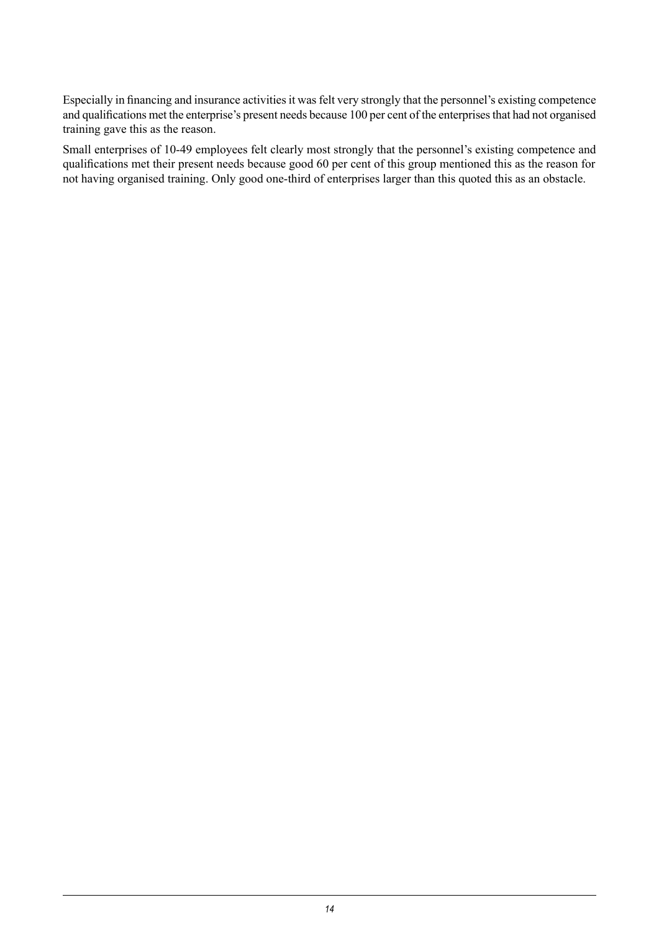Especially in financing and insurance activities it was felt very strongly that the personnel's existing competence and qualifications met the enterprise's present needs because 100 per cent of the enterprisesthat had not organised training gave this as the reason.

Small enterprises of 10-49 employees felt clearly most strongly that the personnel's existing competence and qualifications met their present needs because good 60 per cent of this group mentioned this as the reason for not having organised training. Only good one-third of enterprises larger than this quoted this as an obstacle.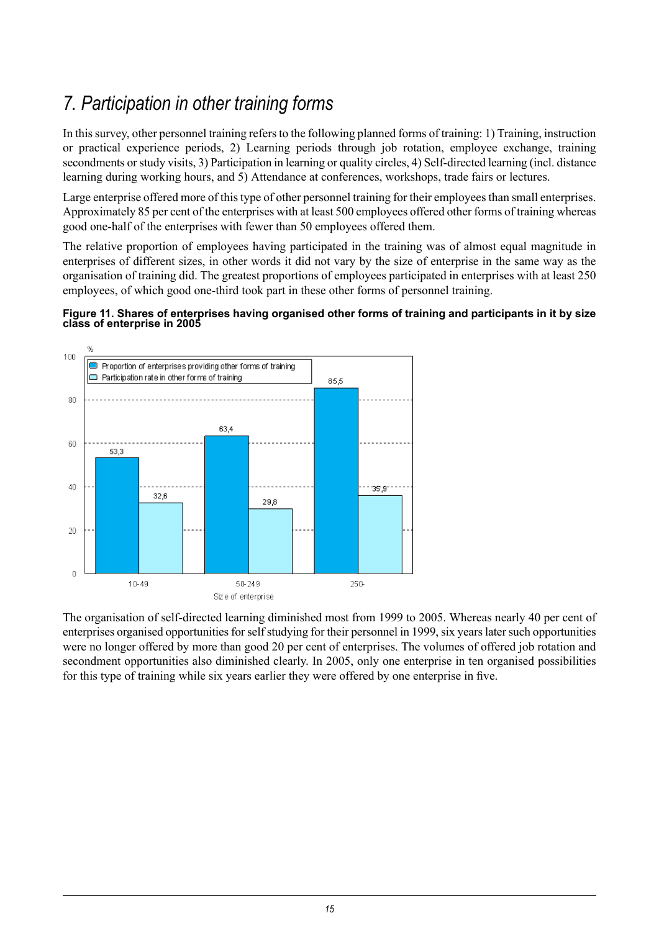## *7. Participation in other training forms*

<span id="page-14-0"></span>In thissurvey, other personnel training refersto the following planned forms of training: 1) Training, instruction or practical experience periods, 2) Learning periods through job rotation, employee exchange, training secondments or study visits, 3) Participation in learning or quality circles, 4) Self-directed learning (incl. distance learning during working hours, and 5) Attendance at conferences, workshops, trade fairs or lectures.

Large enterprise offered more of this type of other personnel training for their employees than small enterprises. Approximately 85 per cent of the enterprises with at least 500 employees offered other forms of training whereas good one-half of the enterprises with fewer than 50 employees offered them.

The relative proportion of employees having participated in the training was of almost equal magnitude in enterprises of different sizes, in other words it did not vary by the size of enterprise in the same way as the organisation of training did. The greatest proportions of employees participated in enterprises with at least 250 employees, of which good one-third took part in these other forms of personnel training.

#### **Figure 11. Shares of enterprises having organised other forms of training and participants in it by size class of enterprise in 2005**



The organisation of self-directed learning diminished most from 1999 to 2005. Whereas nearly 40 per cent of enterprises organised opportunities for self studying for their personnel in 1999, six years later such opportunities were no longer offered by more than good 20 per cent of enterprises. The volumes of offered job rotation and secondment opportunities also diminished clearly. In 2005, only one enterprise in ten organised possibilities for this type of training while six years earlier they were offered by one enterprise in five.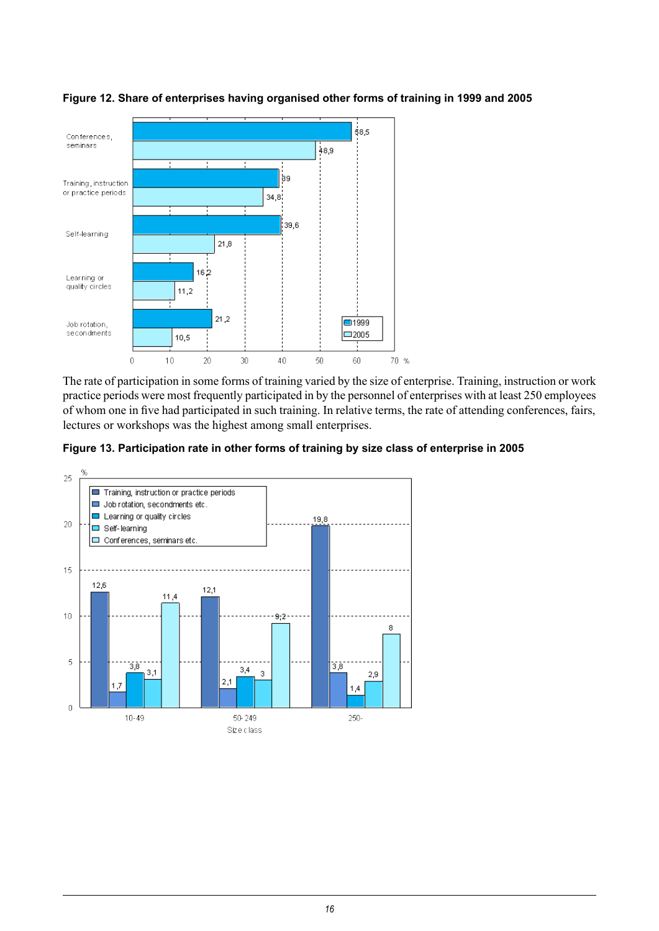

#### **Figure 12. Share of enterprises having organised other forms of training in 1999 and 2005**

The rate of participation in some forms of training varied by the size of enterprise. Training, instruction or work practice periods were most frequently participated in by the personnel of enterprises with at least 250 employees of whom one in five had participated in such training. In relative terms, the rate of attending conferences, fairs, lectures or workshops was the highest among small enterprises.



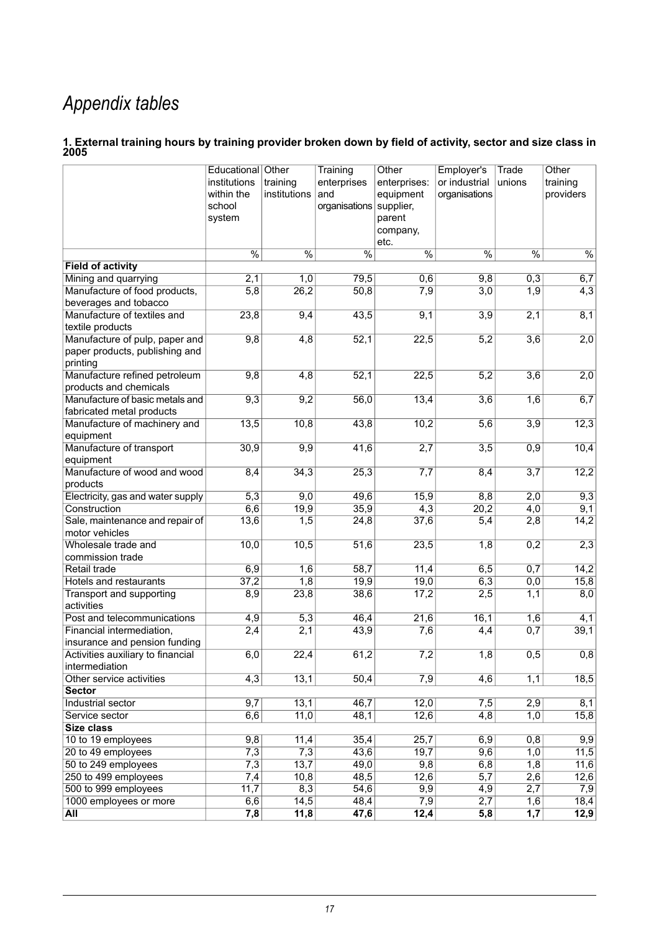## *Appendix tables*

#### <span id="page-16-0"></span>1. External training hours by training provider broken down by field of activity, sector and size class in **2005**

|                                                 | Educational Other<br>institutions<br>within the<br>school<br>system | training<br>institutions | Training<br>enterprises<br>and<br>organisations supplier, | Other<br>enterprises:<br>equipment<br>parent<br>company, | Employer's<br>or industrial<br>organisations | Trade<br>unions  | Other<br>training<br>providers |
|-------------------------------------------------|---------------------------------------------------------------------|--------------------------|-----------------------------------------------------------|----------------------------------------------------------|----------------------------------------------|------------------|--------------------------------|
|                                                 |                                                                     |                          |                                                           | etc.                                                     |                                              |                  |                                |
|                                                 | $\frac{0}{6}$                                                       | $\frac{0}{0}$            | $\overline{\frac{0}{0}}$                                  | $\frac{0}{6}$                                            | $\frac{0}{6}$                                | $\frac{0}{6}$    | $\frac{0}{6}$                  |
| <b>Field of activity</b>                        |                                                                     |                          |                                                           |                                                          |                                              |                  |                                |
| Mining and quarrying                            | $\overline{2,1}$                                                    | 1,0                      | 79,5                                                      | 0,6                                                      | 9,8                                          | 0,3              | 6,7                            |
| Manufacture of food products,                   | 5,8                                                                 | 26,2                     | 50,8                                                      | 7,9                                                      | $\overline{3,0}$                             | $\overline{1,9}$ | $\overline{4,3}$               |
| beverages and tobacco                           |                                                                     |                          |                                                           |                                                          |                                              |                  |                                |
| Manufacture of textiles and                     | 23,8                                                                | 9,4                      | 43,5                                                      | 9,1                                                      | 3,9                                          | 2,1              | 8,1                            |
| textile products                                |                                                                     |                          |                                                           |                                                          |                                              |                  |                                |
| Manufacture of pulp, paper and                  | 9,8                                                                 | 4,8                      | 52,1                                                      | 22,5                                                     | $\overline{5,2}$                             | $\overline{3,6}$ | 2,0                            |
| paper products, publishing and                  |                                                                     |                          |                                                           |                                                          |                                              |                  |                                |
| printing                                        |                                                                     |                          |                                                           |                                                          |                                              |                  |                                |
| Manufacture refined petroleum                   | 9,8                                                                 | 4,8                      | 52,1                                                      | 22,5                                                     | 5,2                                          | $\overline{3,6}$ | 2,0                            |
| products and chemicals                          |                                                                     |                          |                                                           |                                                          |                                              |                  |                                |
| Manufacture of basic metals and                 | 9,3                                                                 | 9,2                      | 56,0                                                      | 13,4                                                     | 3,6                                          | 1,6              | 6,7                            |
| fabricated metal products                       |                                                                     |                          |                                                           |                                                          |                                              |                  |                                |
| Manufacture of machinery and                    | 13,5                                                                | 10,8                     | 43,8                                                      | 10,2                                                     | $\overline{5,6}$                             | $\overline{3,9}$ | 12,3                           |
| equipment                                       |                                                                     |                          |                                                           |                                                          |                                              |                  |                                |
| Manufacture of transport                        | 30,9                                                                | 9,9                      | 41,6                                                      | $\overline{2,7}$                                         | $\overline{3,5}$                             | 0,9              | 10,4                           |
| equipment                                       |                                                                     |                          |                                                           |                                                          |                                              |                  |                                |
| Manufacture of wood and wood                    | 8,4                                                                 | 34,3                     | 25,3                                                      | 7,7                                                      | 8,4                                          | $\overline{3,7}$ | 12,2                           |
| products                                        |                                                                     |                          |                                                           |                                                          |                                              |                  |                                |
| Electricity, gas and water supply               | 5,3                                                                 | 9,0                      | 49,6                                                      | 15,9                                                     | 8,8                                          | 2,0              | 9,3                            |
| Construction<br>Sale, maintenance and repair of | 6,6<br>13,6                                                         | 19,9<br>1,5              | 35,9<br>24,8                                              | 4,3<br>37,6                                              | 20,2                                         | 4,0<br>2,8       | $\overline{9,1}$<br>14,2       |
| motor vehicles                                  |                                                                     |                          |                                                           |                                                          | 5,4                                          |                  |                                |
| Wholesale trade and                             | 10,0                                                                | 10,5                     | 51,6                                                      | 23,5                                                     | 1,8                                          | 0,2              | 2,3                            |
| commission trade                                |                                                                     |                          |                                                           |                                                          |                                              |                  |                                |
| Retail trade                                    | 6,9                                                                 | 1,6                      | 58,7                                                      | 11,4                                                     | 6,5                                          | 0,7              | 14,2                           |
| Hotels and restaurants                          | 37,2                                                                | 1,8                      | 19,9                                                      | 19,0                                                     | 6,3                                          | 0,0              | 15,8                           |
| Transport and supporting                        | 8,9                                                                 | 23,8                     | 38,6                                                      | 17,2                                                     | 2,5                                          | 1,1              | 8,0                            |
| activities                                      |                                                                     |                          |                                                           |                                                          |                                              |                  |                                |
| Post and telecommunications                     | $\overline{4,9}$                                                    | 5,3                      | 46,4                                                      | 21,6                                                     | 16,1                                         | 1,6              | 4,1                            |
| Financial intermediation,                       | 2,4                                                                 | $\overline{2,1}$         | 43,9                                                      | 7,6                                                      | 4,4                                          | 0,7              | 39,1                           |
| insurance and pension funding                   |                                                                     |                          |                                                           |                                                          |                                              |                  |                                |
| Activities auxiliary to financial               | 6,0                                                                 | 22,4                     | 61,2                                                      | 7,2                                                      | 1,8                                          | 0,5              | 0,8                            |
| intermediation                                  |                                                                     |                          |                                                           |                                                          |                                              |                  |                                |
| Other service activities                        | 4,3                                                                 | 13,1                     | 50,4                                                      | 7,9                                                      | 4,6                                          | 1,1              | 18,5                           |
| <b>Sector</b>                                   |                                                                     |                          |                                                           |                                                          |                                              |                  |                                |
| Industrial sector                               | 9,7                                                                 | 13,1                     | 46,7                                                      | 12,0                                                     | 7,5                                          | 2,9              | 8,1                            |
| Service sector                                  | 6,6                                                                 | 11,0                     | 48,1                                                      | 12,6                                                     | 4,8                                          | 1,0              | 15,8                           |
| Size class                                      |                                                                     |                          |                                                           |                                                          |                                              |                  |                                |
| 10 to 19 employees                              | 9,8                                                                 | 11,4                     | 35,4                                                      | 25,7                                                     | 6,9                                          | 0,8              | $\overline{9,9}$               |
| 20 to 49 employees                              | 7,3                                                                 | 7,3                      | 43,6                                                      | 19,7                                                     | 9,6                                          | 1,0              | 11,5                           |
| 50 to 249 employees                             | $\overline{7,3}$                                                    | 13,7                     | 49,0                                                      | $\overline{9,8}$                                         | 6,8                                          | 1,8              | 11,6                           |
| 250 to 499 employees                            | 7,4                                                                 | 10,8                     | 48,5                                                      | 12,6                                                     | $\overline{5,7}$                             | 2,6              | 12,6                           |
| 500 to 999 employees                            | 11,7                                                                | 8,3                      | 54,6                                                      | 9,9                                                      | $\overline{4,9}$                             | 2,7              | 7,9                            |
| 1000 employees or more                          | 6,6                                                                 | 14,5                     | 48,4                                                      | 7,9                                                      | 2,7                                          | 1,6              | 18,4                           |
| <b>All</b>                                      | 7,8                                                                 | 11,8                     | 47,6                                                      | 12,4                                                     | 5,8                                          | 1,7              | 12,9                           |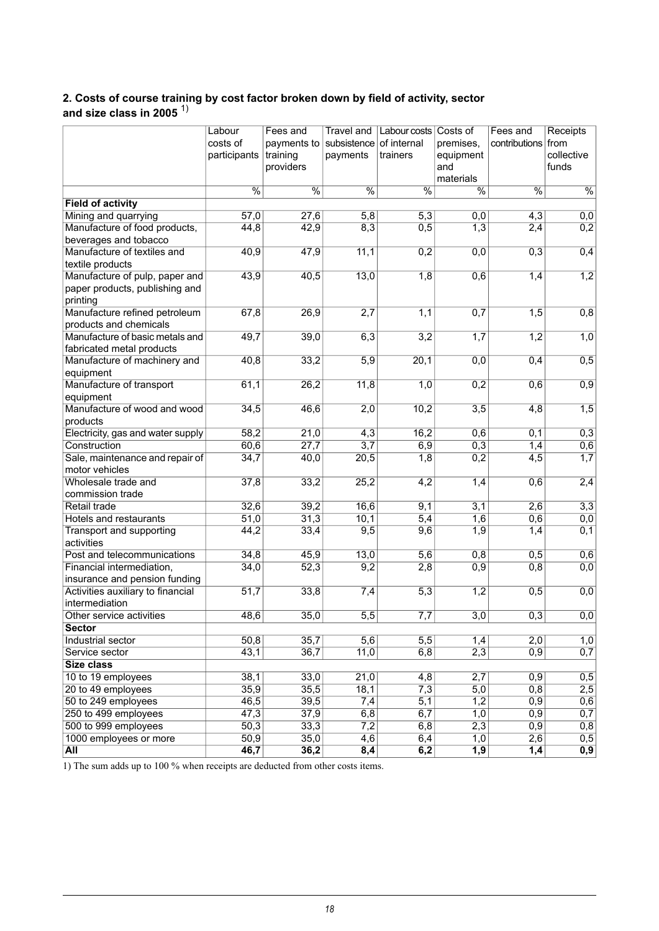#### <span id="page-17-0"></span>**2. Costs of course training by cost factor broken down by field of activity, sector and size class in 2005** 1)

|                                         | Labour        | Fees and                 | Travel and              | Labour costs Costs of |                  | Fees and         | Receipts         |
|-----------------------------------------|---------------|--------------------------|-------------------------|-----------------------|------------------|------------------|------------------|
|                                         | costs of      | payments to              | subsistence of internal |                       | premises,        | contributions    | from             |
|                                         | participants  | training                 | payments                | trainers              | equipment        |                  | collective       |
|                                         |               | providers                |                         |                       | and              |                  | funds            |
|                                         |               |                          |                         |                       | materials        |                  |                  |
|                                         | $\frac{0}{6}$ | $\overline{\frac{0}{0}}$ | $\frac{0}{6}$           | $\frac{0}{6}$         | $\frac{0}{6}$    | $\frac{0}{6}$    | $\frac{0}{6}$    |
| <b>Field of activity</b>                |               |                          |                         |                       |                  |                  |                  |
| Mining and quarrying                    | 57,0          | 27,6                     | 5,8                     | $\overline{5,3}$      | 0,0              | 4,3              | 0,0              |
| Manufacture of food products,           | 44,8          | 42,9                     | 8,3                     | 0,5                   | $\overline{1,3}$ | 2,4              | 0,2              |
| beverages and tobacco                   |               |                          |                         |                       |                  |                  |                  |
| Manufacture of textiles and             | 40,9          | 47,9                     | 11,1                    | $\overline{0,2}$      | 0,0              | 0,3              | 0,4              |
| textile products                        |               |                          |                         |                       |                  |                  |                  |
| Manufacture of pulp, paper and          | 43,9          | 40,5                     | 13,0                    | 1,8                   | 0,6              | 1,4              | 1,2              |
| paper products, publishing and          |               |                          |                         |                       |                  |                  |                  |
| printing                                |               |                          |                         |                       |                  |                  |                  |
| Manufacture refined petroleum           | 67,8          | 26,9                     | 2,7                     | 1,1                   | 0,7              | $\overline{1,5}$ | 0,8              |
| products and chemicals                  |               |                          |                         |                       |                  |                  |                  |
| Manufacture of basic metals and         | 49,7          | 39,0                     | 6,3                     | 3,2                   | $\overline{1,7}$ | 1,2              | 1,0              |
| fabricated metal products               |               |                          |                         |                       |                  |                  |                  |
| Manufacture of machinery and            | 40,8          | 33,2                     | $\overline{5,9}$        | 20,1                  | 0,0              | 0,4              | 0,5              |
| equipment                               |               |                          |                         |                       |                  |                  |                  |
| Manufacture of transport                | 61,1          | 26,2                     | 11,8                    | 1,0                   | 0,2              | 0,6              | 0,9              |
| equipment                               |               |                          |                         |                       |                  |                  |                  |
| Manufacture of wood and wood            | 34,5          | 46,6                     | 2,0                     | 10,2                  | $\overline{3,5}$ | $\overline{4,8}$ | 1,5              |
| products                                |               |                          |                         |                       |                  |                  |                  |
| Electricity, gas and water supply       | 58,2          | 21,0                     | 4,3                     | 16,2                  | 0,6              | 0,1              | 0,3              |
| Construction                            | 60,6          | $\overline{27,7}$        | $\overline{3,7}$        | 6,9                   | 0,3              | 1,4              | 0,6              |
| Sale, maintenance and repair of         | 34,7          | 40,0                     | 20,5                    | 1,8                   | 0,2              | $\overline{4,5}$ | 1,7              |
| motor vehicles                          |               |                          |                         |                       |                  |                  |                  |
| Wholesale trade and<br>commission trade | 37,8          | 33,2                     | 25,2                    | 4,2                   | 1,4              | 0,6              | 2,4              |
| Retail trade                            | 32,6          | 39,2                     | 16,6                    | 9,1                   | 3,1              | 2,6              | 3,3              |
| Hotels and restaurants                  | 51,0          | 31,3                     | 10,1                    | $\overline{5,4}$      | $\overline{1,6}$ | 0,6              | 0,0              |
| Transport and supporting                | 44,2          | 33,4                     | 9,5                     | 9,6                   | $\overline{1,9}$ | 1,4              | 0,1              |
| activities                              |               |                          |                         |                       |                  |                  |                  |
| Post and telecommunications             | 34,8          | 45,9                     | 13,0                    | 5,6                   | 0,8              | 0,5              | 0,6              |
| Financial intermediation,               | 34,0          | 52,3                     | 9,2                     | 2,8                   | 0,9              | 0,8              | 0,0              |
| insurance and pension funding           |               |                          |                         |                       |                  |                  |                  |
| Activities auxiliary to financial       | 51,7          | 33,8                     | 7,4                     | 5,3                   | 1,2              | 0,5              | 0,0              |
| intermediation                          |               |                          |                         |                       |                  |                  |                  |
| Other service activities                | 48,6          | 35,0                     | $\overline{5,5}$        | 7,7                   | $\overline{3,0}$ | 0,3              | 0,0              |
| <b>Sector</b>                           |               |                          |                         |                       |                  |                  |                  |
| Industrial sector                       | 50,8          | 35,7                     | 5,6                     | $\overline{5,5}$      | 1,4              | 2,0              | 1,0              |
| Service sector                          | 43,1          | 36,7                     | 11,0                    | 6,8                   | 2,3              | 0,9              | 0,7              |
| <b>Size class</b>                       |               |                          |                         |                       |                  |                  |                  |
| 10 to 19 employees                      | 38,1          | 33,0                     | $\overline{21,0}$       | 4,8                   | 2,7              | 0,9              | 0,5              |
| 20 to 49 employees                      | 35,9          | 35,5                     | 18,1                    | 7,3                   | $\overline{5,0}$ | 0,8              | $\overline{2,5}$ |
| 50 to 249 employees                     | 46,5          | 39,5                     | 7,4                     | 5,1                   | 1,2              | 0,9              | 0,6              |
| 250 to 499 employees                    | 47,3          | 37,9                     | 6,8                     | 6,7                   | 1,0              | 0,9              | 0,7              |
| 500 to 999 employees                    | 50,3          | 33,3                     | 7,2                     | 6,8                   | 2,3              | 0,9              | 0,8              |
| 1000 employees or more                  | 50,9          | 35,0                     | 4,6                     | 6,4                   | 1,0              | 2,6              | 0,5              |
| All                                     | 46,7          | 36,2                     | 8,4                     | 6,2                   | 1,9              | 1,4              | $\overline{0,9}$ |

1) The sum adds up to 100 % when receipts are deducted from other costs items.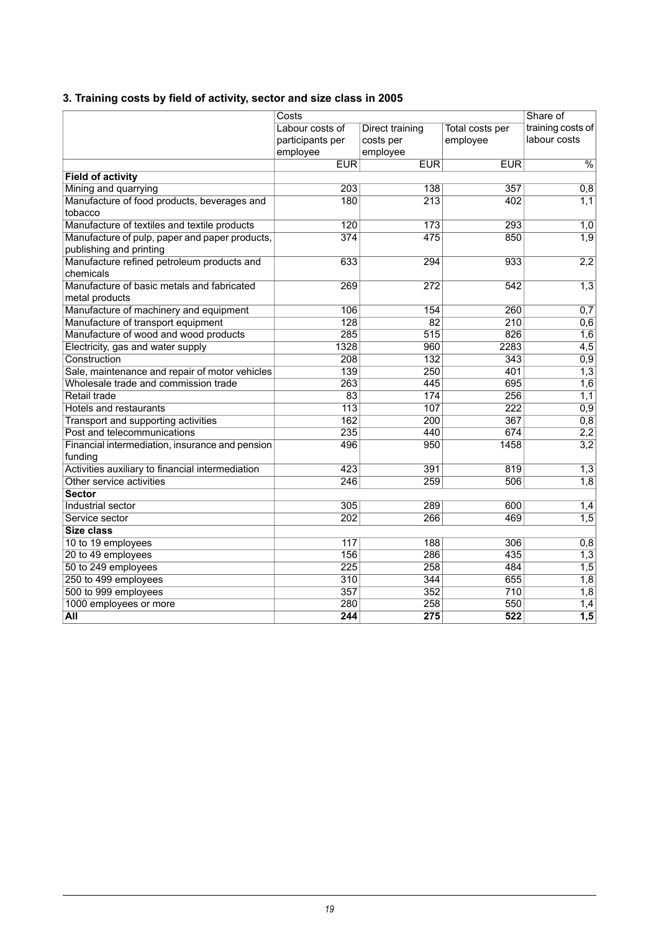### <span id="page-18-0"></span>**3. Training costs by field of activity, sector and size class in 2005**

|                                                  | Costs            | Share of         |                  |                          |
|--------------------------------------------------|------------------|------------------|------------------|--------------------------|
|                                                  | Labour costs of  | Direct training  | Total costs per  | training costs of        |
|                                                  | participants per | costs per        | employee         | labour costs             |
|                                                  | employee         | employee         |                  |                          |
|                                                  | <b>EUR</b>       | <b>EUR</b>       | <b>EUR</b>       | $\overline{\frac{9}{6}}$ |
| <b>Field of activity</b>                         |                  |                  |                  |                          |
| Mining and quarrying                             | 203              | 138              | 357              | 0,8                      |
| Manufacture of food products, beverages and      | 180              | $\overline{213}$ | 402              | 1,1                      |
| tobacco                                          |                  |                  |                  |                          |
| Manufacture of textiles and textile products     | 120              | $\overline{173}$ | 293              | 1,0                      |
| Manufacture of pulp, paper and paper products,   | 374              | 475              | 850              | 1,9                      |
| publishing and printing                          |                  |                  |                  |                          |
| Manufacture refined petroleum products and       | 633              | 294              | 933              | 2,2                      |
| chemicals                                        |                  |                  |                  |                          |
| Manufacture of basic metals and fabricated       | 269              | 272              | 542              | 1,3                      |
| metal products                                   |                  |                  |                  |                          |
| Manufacture of machinery and equipment           | 106              | 154              | 260              | 0,7                      |
| Manufacture of transport equipment               | 128              | $\overline{82}$  | 210              | 0,6                      |
| Manufacture of wood and wood products            | 285              | 515              | 826              | 1,6                      |
| Electricity, gas and water supply                | 1328             | 960              | 2283             | $\overline{4,5}$         |
| Construction                                     | 208              | $\overline{132}$ | 343              | 0,9                      |
| Sale, maintenance and repair of motor vehicles   | 139              | 250              | 401              | 1,3                      |
| Wholesale trade and commission trade             | 263              | 445              | 695              | 1,6                      |
| Retail trade                                     | $\overline{83}$  | 174              | 256              | 1,1                      |
| Hotels and restaurants                           | $\overline{113}$ | 107              | $\overline{222}$ | 0,9                      |
| Transport and supporting activities              | 162              | $\overline{200}$ | 367              | 0,8                      |
| Post and telecommunications                      | 235              | 440              | 674              | 2,2                      |
| Financial intermediation, insurance and pension  | 496              | 950              | 1458             | 3,2                      |
| funding                                          |                  |                  |                  |                          |
| Activities auxiliary to financial intermediation | 423              | 391              | 819              | 1,3                      |
| Other service activities                         | 246              | 259              | 506              | 1,8                      |
| <b>Sector</b>                                    |                  |                  |                  |                          |
| Industrial sector                                | 305              | 289              | 600              | 1,4                      |
| Service sector                                   | 202              | 266              | 469              | 1,5                      |
| Size class                                       |                  |                  |                  |                          |
| 10 to 19 employees                               | 117              | 188              | 306              | 0,8                      |
| 20 to 49 employees                               | 156              | 286              | 435              | 1,3                      |
| 50 to 249 employees                              | 225              | 258              | 484              | $\overline{1,5}$         |
| 250 to 499 employees                             | 310              | 344              | 655              | 1,8                      |
| 500 to 999 employees                             | $\overline{357}$ | 352              | 710              | $\overline{1,8}$         |
| 1000 employees or more                           | 280              | 258              | 550              | 1,4                      |
| <b>All</b>                                       | 244              | $\overline{275}$ | $\overline{522}$ | $\overline{1,5}$         |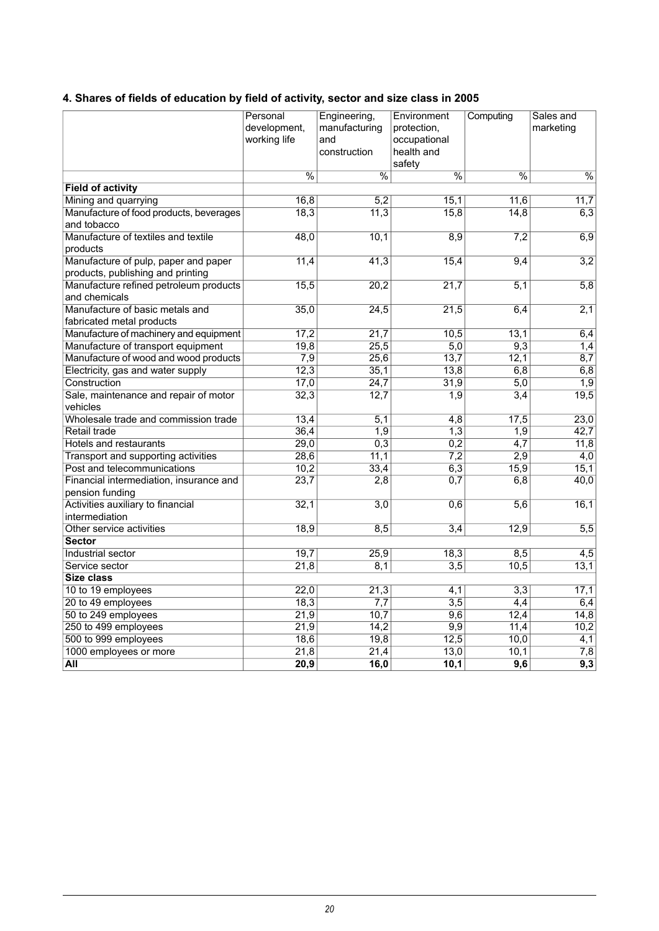### <span id="page-19-0"></span>**4. Shares of fields of education by field of activity, sector and size class in 2005**

|                                         | Personal<br>development,<br>working life | Engineering,<br>manufacturing<br>and<br>construction | Environment<br>protection,<br>occupational<br>health and<br>safety | Computing                | Sales and<br>marketing   |
|-----------------------------------------|------------------------------------------|------------------------------------------------------|--------------------------------------------------------------------|--------------------------|--------------------------|
|                                         | $\overline{\frac{9}{6}}$                 | $\overline{\frac{9}{6}}$                             | $\overline{\frac{9}{6}}$                                           | $\overline{\frac{0}{6}}$ | $\overline{\frac{9}{6}}$ |
| <b>Field of activity</b>                |                                          |                                                      |                                                                    |                          |                          |
| Mining and quarrying                    | 16,8                                     | $\overline{5,2}$                                     | 15,1                                                               | 11,6                     | 11,7                     |
| Manufacture of food products, beverages | 18,3                                     | 11,3                                                 | 15,8                                                               | 14,8                     | 6,3                      |
| and tobacco                             |                                          |                                                      |                                                                    |                          |                          |
| Manufacture of textiles and textile     | 48,0                                     | 10,1                                                 | 8,9                                                                | 7,2                      | 6,9                      |
| products                                |                                          |                                                      |                                                                    |                          |                          |
| Manufacture of pulp, paper and paper    | 11,4                                     | 41,3                                                 | 15,4                                                               | 9,4                      | 3,2                      |
| products, publishing and printing       |                                          |                                                      |                                                                    |                          |                          |
| Manufacture refined petroleum products  | 15,5                                     | $\overline{20,2}$                                    | 21,7                                                               | 5,1                      | 5,8                      |
| and chemicals                           |                                          |                                                      |                                                                    |                          |                          |
| Manufacture of basic metals and         | 35,0                                     | 24,5                                                 | 21,5                                                               | 6,4                      | 2,1                      |
| fabricated metal products               |                                          |                                                      |                                                                    |                          |                          |
| Manufacture of machinery and equipment  | 17,2                                     | $\overline{21,7}$                                    | 10,5                                                               | 13,1                     | 6,4                      |
| Manufacture of transport equipment      | 19,8                                     | 25,5                                                 | $\overline{5,0}$                                                   | 9,3                      | 1,4                      |
| Manufacture of wood and wood products   | 7,9                                      | 25,6                                                 | 13,7                                                               | 12,1                     | 8,7                      |
| Electricity, gas and water supply       | 12,3                                     | 35,1                                                 | 13,8                                                               | 6,8                      | 6,8                      |
| Construction                            | 17,0                                     | 24,7                                                 | 31,9                                                               | $\overline{5,0}$         | $\overline{1,9}$         |
| Sale, maintenance and repair of motor   | 32,3                                     | 12,7                                                 | 1,9                                                                | 3,4                      | 19,5                     |
| vehicles                                |                                          |                                                      |                                                                    |                          |                          |
| Wholesale trade and commission trade    | 13,4                                     | $\overline{5,1}$                                     | $\overline{4,8}$                                                   | 17,5                     | 23,0                     |
| Retail trade                            | 36,4                                     | 1,9                                                  | 1,3                                                                | 1,9                      | 42,7                     |
| Hotels and restaurants                  | 29,0                                     | 0,3                                                  | 0,2                                                                | $\overline{4,7}$         | 11,8                     |
| Transport and supporting activities     | 28,6                                     | 11,1                                                 | 7,2                                                                | 2,9                      | 4,0                      |
| Post and telecommunications             | 10,2                                     | 33,4                                                 | 6,3                                                                | 15,9                     | 15,1                     |
| Financial intermediation, insurance and | 23,7                                     | 2,8                                                  | 0,7                                                                | 6,8                      | 40,0                     |
| pension funding                         |                                          |                                                      |                                                                    |                          |                          |
| Activities auxiliary to financial       | 32,1                                     | $\overline{3,0}$                                     | 0,6                                                                | 5,6                      | 16,1                     |
| intermediation                          |                                          |                                                      |                                                                    |                          |                          |
| Other service activities                | 18,9                                     | 8,5                                                  | 3,4                                                                | 12,9                     | 5,5                      |
| <b>Sector</b>                           |                                          |                                                      |                                                                    |                          |                          |
| Industrial sector                       | 19,7                                     | 25,9                                                 | 18,3                                                               | 8,5                      | $\overline{4,5}$         |
| Service sector                          | 21,8                                     | 8,1                                                  | $\overline{3,5}$                                                   | 10,5                     | 13,1                     |
| <b>Size class</b>                       |                                          |                                                      |                                                                    |                          |                          |
| 10 to 19 employees                      | 22,0                                     | 21,3                                                 | 4,1                                                                | $\overline{3,3}$         | 17,1                     |
| 20 to 49 employees                      | 18,3                                     | $\overline{7,7}$                                     | $\overline{3,5}$                                                   | 4,4                      | 6,4                      |
| 50 to 249 employees                     | 21,9                                     | 10,7                                                 | 9,6                                                                | 12,4                     | 14,8                     |
| 250 to 499 employees                    | 21,9                                     | 14,2                                                 | 9,9                                                                | 11,4                     | 10,2                     |
| 500 to 999 employees                    | 18,6                                     | 19,8                                                 | 12,5                                                               | 10,0                     | 4,1                      |
| 1000 employees or more                  | 21,8                                     | 21,4                                                 | 13,0                                                               | 10,1                     | 7,8                      |
| All                                     | 20,9                                     | 16,0                                                 | 10,1                                                               | 9,6                      | 9,3                      |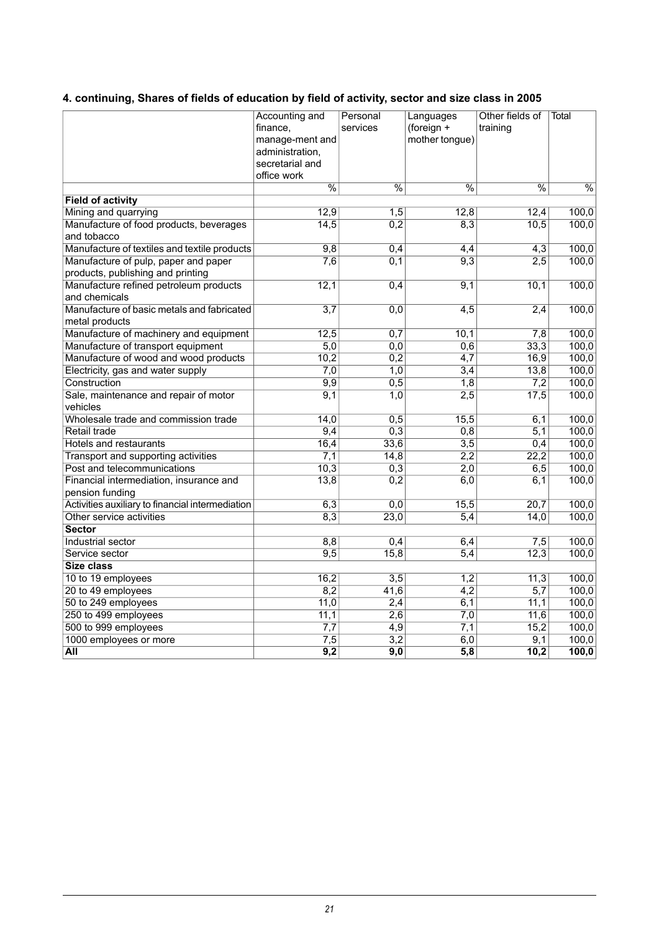### <span id="page-20-0"></span>**4. continuing, Shares of fields of education by field of activity, sector and size class in 2005**

|                                                            | Accounting and<br>finance,<br>manage-ment and<br>administration,<br>secretarial and<br>office work | Personal<br>services     | Languages<br>(foreign +<br>mother tongue) | Other fields of<br>training | Total                    |
|------------------------------------------------------------|----------------------------------------------------------------------------------------------------|--------------------------|-------------------------------------------|-----------------------------|--------------------------|
|                                                            | $\frac{0}{6}$                                                                                      | $\overline{\frac{0}{0}}$ | $\overline{\frac{0}{0}}$                  | $\overline{\frac{9}{6}}$    | $\overline{\frac{9}{6}}$ |
| <b>Field of activity</b>                                   |                                                                                                    |                          |                                           |                             |                          |
| Mining and quarrying                                       | 12,9                                                                                               | 1,5                      | 12,8                                      | 12,4                        | 100,0                    |
| Manufacture of food products, beverages                    | 14,5                                                                                               | 0,2                      | 8,3                                       | 10,5                        | 100,0                    |
| and tobacco                                                |                                                                                                    |                          |                                           |                             |                          |
| Manufacture of textiles and textile products               | 9,8                                                                                                | 0,4                      | 4,4                                       | 4,3                         | 100,0                    |
| Manufacture of pulp, paper and paper                       | 7,6                                                                                                | 0,1                      | 9,3                                       | 2,5                         | 100,0                    |
| products, publishing and printing                          |                                                                                                    |                          |                                           |                             |                          |
| Manufacture refined petroleum products                     | 12,1                                                                                               | 0,4                      | $\overline{9,1}$                          | 10,1                        | 100,0                    |
| and chemicals                                              |                                                                                                    |                          |                                           |                             |                          |
| Manufacture of basic metals and fabricated                 | 3,7                                                                                                | 0,0                      | $\overline{4,5}$                          | 2,4                         | 100,0                    |
| metal products                                             |                                                                                                    |                          |                                           |                             |                          |
| Manufacture of machinery and equipment                     | 12,5                                                                                               | 0,7                      | 10,1                                      | 7,8                         | 100,0                    |
| Manufacture of transport equipment                         | 5,0                                                                                                | 0,0                      | 0,6                                       | 33,3                        | 100,0                    |
| Manufacture of wood and wood products                      | 10,2                                                                                               | 0,2                      | 4,7                                       | 16,9                        | 100,0                    |
| Electricity, gas and water supply                          | 7,0                                                                                                | 1,0                      | 3,4                                       | 13,8                        | 100,0                    |
| Construction                                               | 9,9                                                                                                | 0,5                      | 1,8                                       | 7,2                         | 100,0                    |
| Sale, maintenance and repair of motor                      | 9,1                                                                                                | 1,0                      | 2,5                                       | 17,5                        | 100,0                    |
| vehicles                                                   |                                                                                                    |                          |                                           |                             |                          |
| Wholesale trade and commission trade                       | 14,0                                                                                               | 0,5                      | 15,5                                      | 6,1                         | 100,0                    |
| Retail trade                                               | 9,4                                                                                                | 0,3                      | 0,8                                       | 5,1                         | 100,0                    |
| <b>Hotels and restaurants</b>                              | 16,4                                                                                               | 33,6                     | $\overline{3,5}$                          | 0,4                         | 100,0                    |
| Transport and supporting activities                        | 7,1                                                                                                | 14,8                     | $\overline{2,2}$                          | 22,2                        | 100,0                    |
| Post and telecommunications                                | 10,3                                                                                               | 0,3                      | 2,0                                       | 6,5                         | 100,0                    |
| Financial intermediation, insurance and<br>pension funding | 13,8                                                                                               | 0,2                      | 6,0                                       | 6,1                         | 100,0                    |
| Activities auxiliary to financial intermediation           | 6,3                                                                                                | 0,0                      | 15,5                                      | 20,7                        | 100,0                    |
| Other service activities                                   | 8,3                                                                                                | 23,0                     | 5,4                                       | 14,0                        | 100,0                    |
| <b>Sector</b>                                              |                                                                                                    |                          |                                           |                             |                          |
| Industrial sector                                          | 8,8                                                                                                | 0,4                      | 6,4                                       | 7,5                         | 100,0                    |
| Service sector                                             | 9,5                                                                                                | 15,8                     | 5,4                                       | 12,3                        | 100,0                    |
| Size class                                                 |                                                                                                    |                          |                                           |                             |                          |
| 10 to 19 employees                                         | 16,2                                                                                               | 3,5                      | 1,2                                       | 11,3                        | 100,0                    |
| 20 to 49 employees                                         | 8,2                                                                                                | 41,6                     | $\overline{4,2}$                          | $\overline{5,7}$            | 100,0                    |
| 50 to 249 employees                                        | 11,0                                                                                               | 2,4                      | 6,1                                       | 11,1                        | 100,0                    |
| 250 to 499 employees                                       | 11,1                                                                                               | $\overline{2,6}$         | $\overline{7,0}$                          | 11,6                        | 100,0                    |
| 500 to 999 employees                                       | 7,7                                                                                                | 4,9                      | $\overline{7,1}$                          | 15,2                        | 100,0                    |
| 1000 employees or more                                     | 7,5                                                                                                | $\overline{3,2}$         | 6,0                                       | 9,1                         | 100,0                    |
| All                                                        | 9,2                                                                                                | $\overline{9,0}$         | 5,8                                       | 10,2                        | 100,0                    |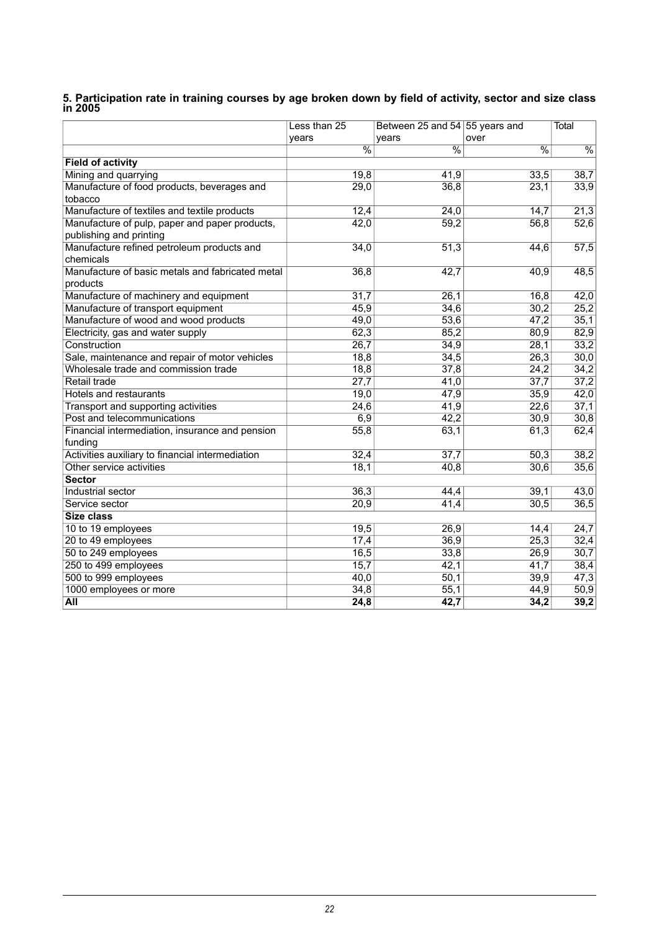<span id="page-21-0"></span>

|                                                  | Less than 25  | Between 25 and 54 55 years and |               | Total         |
|--------------------------------------------------|---------------|--------------------------------|---------------|---------------|
|                                                  | vears         | vears                          | over          |               |
|                                                  | $\frac{0}{6}$ | $\frac{0}{6}$                  | $\frac{0}{6}$ | $\frac{0}{6}$ |
| <b>Field of activity</b>                         |               |                                |               |               |
| Mining and quarrying                             | 19,8          | 41,9                           | 33,5          | 38,7          |
| Manufacture of food products, beverages and      | 29,0          | 36,8                           | 23,1          | 33,9          |
| tobacco                                          |               |                                |               |               |
| Manufacture of textiles and textile products     | 12,4          | 24,0                           | 14,7          | 21,3          |
| Manufacture of pulp, paper and paper products,   | 42,0          | 59,2                           | 56,8          | 52,6          |
| publishing and printing                          |               |                                |               |               |
| Manufacture refined petroleum products and       | 34,0          | 51,3                           | 44,6          | 57,5          |
| chemicals                                        |               |                                |               |               |
| Manufacture of basic metals and fabricated metal | 36,8          | 42,7                           | 40,9          | 48,5          |
| products                                         |               |                                |               |               |
| Manufacture of machinery and equipment           | 31,7          | 26,1                           | 16,8          | 42,0          |
| Manufacture of transport equipment               | 45,9          | 34,6                           | 30,2          | 25,2          |
| Manufacture of wood and wood products            | 49,0          | 53,6                           | 47,2          | 35,1          |
| Electricity, gas and water supply                | 62,3          | 85,2                           | 80,9          | 82,9          |
| Construction                                     | 26,7          | 34,9                           | 28,1          | 33,2          |
| Sale, maintenance and repair of motor vehicles   | 18,8          | 34,5                           | 26,3          | 30,0          |
| Wholesale trade and commission trade             | 18,8          | 37,8                           | 24,2          | 34,2          |
| Retail trade                                     | 27,7          | 41,0                           | 37,7          | 37,2          |
| Hotels and restaurants                           | 19,0          | 47,9                           | 35,9          | 42,0          |
| Transport and supporting activities              | 24,6          | 41,9                           | 22,6          | 37,1          |
| Post and telecommunications                      | 6,9           | 42,2                           | 30,9          | 30,8          |
| Financial intermediation, insurance and pension  | 55,8          | 63,1                           | 61,3          | 62,4          |
| funding                                          |               |                                |               |               |
| Activities auxiliary to financial intermediation | 32,4          | 37,7                           | 50,3          | 38,2          |
| Other service activities                         | 18,1          | 40,8                           | 30,6          | 35,6          |
| <b>Sector</b>                                    |               |                                |               |               |
| Industrial sector                                | 36,3          | 44,4                           | 39,1          | 43,0          |
| Service sector                                   | 20,9          | 41,4                           | 30,5          | 36,5          |
| Size class                                       |               |                                |               |               |
| 10 to 19 employees                               | 19,5          | 26,9                           | 14,4          | 24,7          |
| 20 to 49 employees                               | 17,4          | 36,9                           | 25,3          | 32,4          |
| 50 to 249 employees                              | 16,5          | 33,8                           | 26,9          | 30,7          |
| 250 to 499 employees                             | 15,7          | 42,1                           | 41,7          | 38,4          |
| 500 to 999 employees                             | 40,0          | 50,1                           | 39,9          | 47,3          |
| 1000 employees or more                           | 34,8          | 55,1                           | 44,9          | 50,9          |
| <b>All</b>                                       | 24,8          | 42,7                           | 34,2          | 39,2          |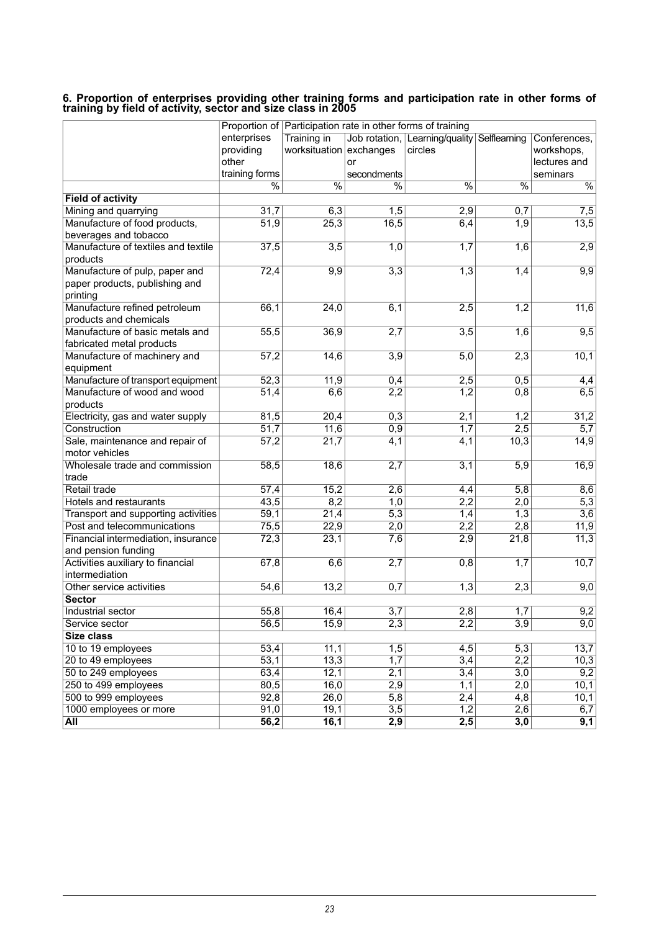#### <span id="page-22-0"></span>**6. Proportion of enterprises providing other training forms and participation rate in other forms of training by field of activity, sector and size class in 2005**

|                                     |                          | Proportion of Participation rate in other forms of training |                          |                                             |                  |                  |
|-------------------------------------|--------------------------|-------------------------------------------------------------|--------------------------|---------------------------------------------|------------------|------------------|
|                                     | enterprises              | Training in                                                 |                          | Job rotation, Learning/quality Selflearning |                  | Conferences,     |
|                                     | providing                | worksituation exchanges                                     |                          | circles                                     |                  | workshops,       |
|                                     | other                    |                                                             | or                       |                                             |                  | lectures and     |
|                                     | training forms           |                                                             | secondments              |                                             |                  | seminars         |
|                                     | $\overline{\frac{0}{0}}$ | $\overline{\frac{0}{6}}$                                    | $\overline{\frac{9}{6}}$ | $\frac{0}{6}$                               | $\frac{0}{6}$    | $\frac{0}{6}$    |
| <b>Field of activity</b>            |                          |                                                             |                          |                                             |                  |                  |
| Mining and quarrying                | 31,7                     | 6,3                                                         | 1,5                      | 2,9                                         | 0,7              | 7,5              |
| Manufacture of food products,       | 51,9                     | 25,3                                                        | 16,5                     | 6,4                                         | 1,9              | 13,5             |
| beverages and tobacco               |                          |                                                             |                          |                                             |                  |                  |
| Manufacture of textiles and textile | 37,5                     | $\overline{3,5}$                                            | 1,0                      | 1,7                                         | 1,6              | 2,9              |
| products                            |                          |                                                             |                          |                                             |                  |                  |
| Manufacture of pulp, paper and      | 72,4                     | 9,9                                                         | 3,3                      | 1,3                                         | 1,4              | 9,9              |
| paper products, publishing and      |                          |                                                             |                          |                                             |                  |                  |
| printing                            |                          |                                                             |                          |                                             |                  |                  |
| Manufacture refined petroleum       | 66,1                     | 24,0                                                        | 6,1                      | 2,5                                         | 1,2              | 11,6             |
| products and chemicals              |                          |                                                             |                          |                                             |                  |                  |
| Manufacture of basic metals and     | 55,5                     | 36,9                                                        | 2,7                      | $\overline{3,5}$                            | 1,6              | 9,5              |
| fabricated metal products           |                          |                                                             |                          |                                             |                  |                  |
| Manufacture of machinery and        | 57,2                     | 14,6                                                        | $\overline{3,9}$         | 5,0                                         | 2,3              | 10,1             |
| equipment                           |                          |                                                             |                          |                                             |                  |                  |
| Manufacture of transport equipment  | 52,3                     | 11,9                                                        | 0,4                      | 2,5                                         | 0,5              | $\overline{4,4}$ |
| Manufacture of wood and wood        | 51,4                     | 6,6                                                         | 2,2                      | 1,2                                         | 0,8              | 6,5              |
| products                            |                          |                                                             |                          |                                             |                  |                  |
| Electricity, gas and water supply   | 81,5                     | 20,4                                                        | 0,3                      | 2,1                                         | 1,2              | 31,2             |
| Construction                        | 51,7                     | 11,6                                                        | 0,9                      | $\overline{1,7}$                            | 2,5              | 5,7              |
| Sale, maintenance and repair of     | $\overline{57,2}$        | $\overline{21,7}$                                           | $\overline{4,1}$         | $\overline{4,1}$                            | 10,3             | 14,9             |
| motor vehicles                      |                          |                                                             |                          |                                             |                  |                  |
| Wholesale trade and commission      | 58,5                     | 18,6                                                        | 2,7                      | 3,1                                         | $\overline{5,9}$ | 16,9             |
| trade                               |                          |                                                             |                          |                                             |                  |                  |
| Retail trade                        | 57,4                     | 15,2                                                        | 2,6                      | 4,4                                         | 5,8              | 8,6              |
| <b>Hotels and restaurants</b>       | 43,5                     | 8,2                                                         | $\overline{1,0}$         | 2,2                                         | 2,0              | $\overline{5,3}$ |
| Transport and supporting activities | 59,1                     | 21,4                                                        | 5,3                      | 1,4                                         | 1,3              | 3,6              |
| Post and telecommunications         | 75,5                     | 22,9                                                        | 2,0                      | 2,2                                         | 2,8              | 11,9             |
| Financial intermediation, insurance | 72,3                     | 23,1                                                        | 7,6                      | 2,9                                         | 21,8             | 11,3             |
| and pension funding                 |                          |                                                             |                          |                                             |                  |                  |
| Activities auxiliary to financial   | 67,8                     | 6,6                                                         | 2,7                      | 0,8                                         | 1,7              | 10,7             |
| intermediation                      |                          |                                                             |                          |                                             |                  |                  |
| Other service activities            | 54,6                     | 13,2                                                        | 0,7                      | 1,3                                         | 2,3              | 9,0              |
| <b>Sector</b>                       |                          |                                                             |                          |                                             |                  |                  |
| Industrial sector                   | 55,8                     | 16,4                                                        | $\overline{3,7}$         | $\overline{2,8}$                            | 1,7              | 9,2              |
| Service sector                      | 56,5                     | 15,9                                                        | 2,3                      | 2,2                                         | $\overline{3,9}$ | 9,0              |
| <b>Size class</b>                   |                          |                                                             |                          |                                             |                  |                  |
| 10 to 19 employees                  | 53,4                     | 11,1                                                        | 1,5                      | 4,5                                         | 5,3              | 13,7             |
| 20 to 49 employees                  | $\overline{53,1}$        | 13,3                                                        | 1,7                      | $\overline{3,4}$                            | 2,2              | 10,3             |
| 50 to 249 employees                 | 63,4                     | 12,1                                                        | 2,1                      | 3,4                                         | $\overline{3,0}$ | 9,2              |
| 250 to 499 employees                | 80,5                     | 16,0                                                        | 2,9                      | 1,1                                         | 2,0              | 10,1             |
| 500 to 999 employees                | 92,8                     | 26,0                                                        | $\overline{5,8}$         | 2,4                                         | 4,8              | 10,1             |
| 1000 employees or more              | 91,0                     | 19,1                                                        | $\overline{3,5}$         | $\overline{1,2}$                            | $\overline{2,6}$ | 6,7              |
| All                                 | $\overline{56,2}$        | 16,1                                                        | $\overline{2,9}$         | $\overline{2,5}$                            | 3,0              | $\overline{9,1}$ |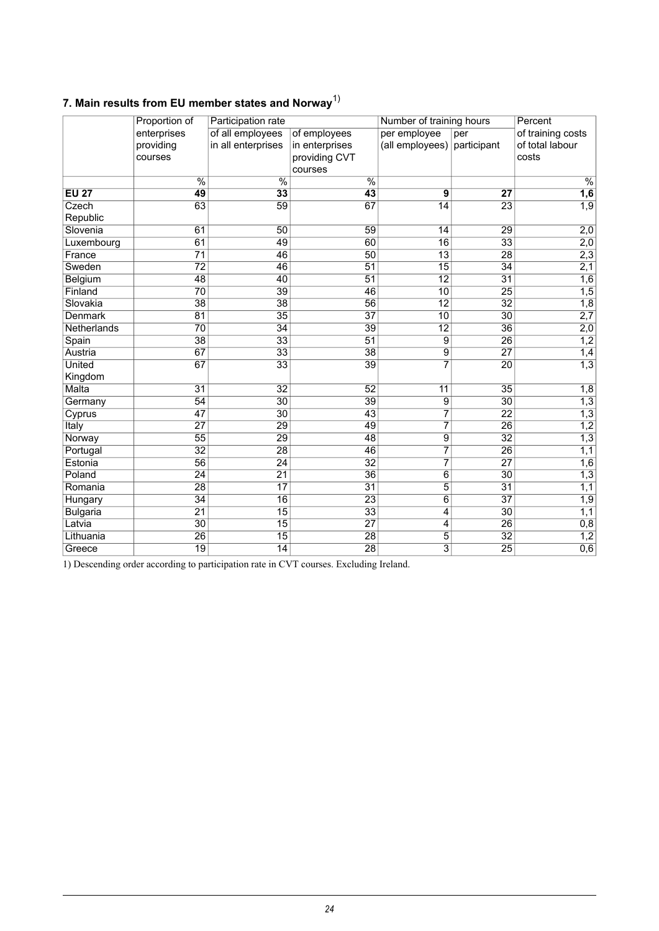<span id="page-23-0"></span>

|  |  | 7. Main results from EU member states and Norway <sup>17</sup> |  |  |
|--|--|----------------------------------------------------------------|--|--|
|  |  |                                                                |  |  |

|                 | Proportion of            | Participation rate       |                          | Number of training hours |                 | Percent           |
|-----------------|--------------------------|--------------------------|--------------------------|--------------------------|-----------------|-------------------|
|                 | enterprises              | of all employees         | of employees             | per employee             | per             | of training costs |
|                 | providing                | in all enterprises       | in enterprises           | (all employees)          | participant     | of total labour   |
|                 | courses                  |                          | providing CVT            |                          |                 | costs             |
|                 |                          |                          | courses                  |                          |                 |                   |
|                 | $\overline{\frac{0}{0}}$ | $\overline{\frac{9}{6}}$ | $\overline{\frac{0}{0}}$ |                          |                 | $\frac{0}{6}$     |
| <b>EU 27</b>    | 49                       | 33                       | $\overline{43}$          | 9                        | 27              | $\overline{1,6}$  |
| Czech           | 63                       | 59                       | 67                       | $\overline{14}$          | $\overline{23}$ | $\overline{1,9}$  |
| Republic        |                          |                          |                          |                          |                 |                   |
| Slovenia        | 61                       | $\overline{50}$          | 59                       | 14                       | 29              | 2,0               |
| Luxembourg      | 61                       | 49                       | 60                       | $\overline{16}$          | $\overline{33}$ | 2,0               |
| France          | $\overline{71}$          | 46                       | $\overline{50}$          | $\overline{13}$          | 28              | 2,3               |
| Sweden          | $\overline{72}$          | 46                       | $\overline{51}$          | $\overline{15}$          | $\overline{34}$ | 2,1               |
| Belgium         | 48                       | 40                       | 51                       | $\overline{12}$          | $\overline{31}$ | 1,6               |
| Finland         | 70                       | 39                       | 46                       | 10                       | 25              | 1,5               |
| Slovakia        | $\overline{38}$          | $\overline{38}$          | $\overline{56}$          | $\overline{12}$          | $\overline{32}$ | $\overline{1,8}$  |
| Denmark         | 81                       | $\overline{35}$          | 37                       | 10                       | 30              | $\overline{2,7}$  |
| Netherlands     | $\overline{70}$          | $\overline{34}$          | 39                       | $\overline{12}$          | $\overline{36}$ | $\overline{2,0}$  |
| Spain           | 38                       | 33                       | $\overline{51}$          | 9                        | 26              | $\overline{1,2}$  |
| Austria         | 67                       | $\overline{33}$          | 38                       | 9                        | $\overline{27}$ | 1,4               |
| <b>United</b>   | 67                       | $\overline{33}$          | 39                       |                          | $\overline{20}$ | $\overline{1,3}$  |
| Kingdom         |                          |                          |                          |                          |                 |                   |
| Malta           | $\overline{31}$          | $\overline{32}$          | $\overline{52}$          | $\overline{11}$          | $\overline{35}$ | 1,8               |
| Germany         | 54                       | $\overline{30}$          | 39                       | $\overline{9}$           | 30              | $\overline{1,3}$  |
| Cyprus          | 47                       | $\overline{30}$          | 43                       | $\overline{7}$           | $\overline{22}$ | 1,3               |
| Italy           | $\overline{27}$          | $\overline{29}$          | 49                       | $\overline{7}$           | $\overline{26}$ | $\overline{1,2}$  |
| Norway          | $\overline{55}$          | 29                       | 48                       | $\overline{9}$           | 32              | 1,3               |
| Portugal        | $\overline{32}$          | $\overline{28}$          | 46                       | $\overline{7}$           | $\overline{26}$ | $\overline{1,1}$  |
| Estonia         | 56                       | 24                       | $\overline{32}$          | $\overline{7}$           | 27              | $\overline{1,6}$  |
| Poland          | $\overline{24}$          | $\overline{21}$          | $\overline{36}$          | $\overline{6}$           | $\overline{30}$ | 1,3               |
| Romania         | 28                       | 17                       | $\overline{31}$          | 5                        | 31              | 1,1               |
| Hungary         | 34                       | 16                       | $\overline{23}$          | $\overline{6}$           | $\overline{37}$ | $\overline{1,9}$  |
| <b>Bulgaria</b> | $\overline{21}$          | $\overline{15}$          | $\overline{33}$          | 4                        | $\overline{30}$ | 1,1               |
| Latvia          | 30                       | 15                       | $\overline{27}$          | 4                        | 26              | 0,8               |
| Lithuania       | $\overline{26}$          | $\overline{15}$          | $\overline{28}$          | $\overline{5}$           | $\overline{32}$ | $\frac{1,2}{0,6}$ |
| Greece          | 19                       | 14                       | $\overline{28}$          | $\overline{3}$           | $\overline{25}$ |                   |

1) Descending order according to participation rate in CVT courses. Excluding Ireland.